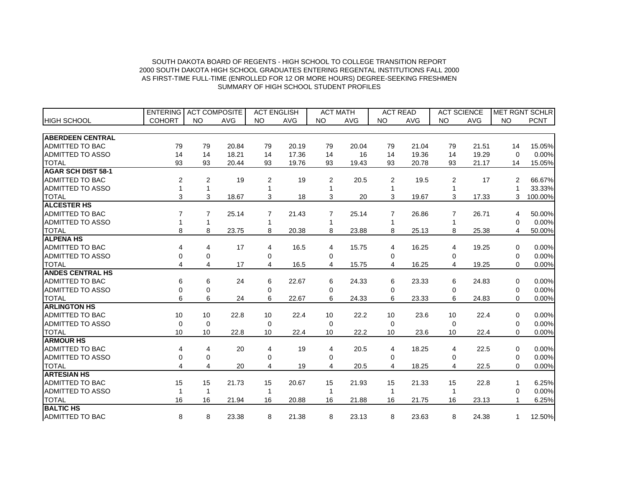|                           | <b>ENTERING</b> | <b>ACT COMPOSITE</b> |            | <b>ACT ENGLISH</b> |            |           | <b>ACT MATH</b> |           | <b>ACT READ</b> |                | <b>ACT SCIENCE</b> |              | <b>MET RGNT SCHLR</b> |
|---------------------------|-----------------|----------------------|------------|--------------------|------------|-----------|-----------------|-----------|-----------------|----------------|--------------------|--------------|-----------------------|
| <b>HIGH SCHOOL</b>        | <b>COHORT</b>   | <b>NO</b>            | <b>AVG</b> | <b>NO</b>          | <b>AVG</b> | <b>NO</b> | <b>AVG</b>      | <b>NO</b> | <b>AVG</b>      | <b>NO</b>      | <b>AVG</b>         | <b>NO</b>    | <b>PCNT</b>           |
|                           |                 |                      |            |                    |            |           |                 |           |                 |                |                    |              |                       |
| <b>ABERDEEN CENTRAL</b>   |                 |                      |            |                    |            |           |                 |           |                 |                |                    |              |                       |
| <b>ADMITTED TO BAC</b>    | 79              | 79                   | 20.84      | 79                 | 20.19      | 79        | 20.04           | 79        | 21.04           | 79             | 21.51              | 14           | 15.05%                |
| <b>ADMITTED TO ASSO</b>   | 14              | 14                   | 18.21      | 14                 | 17.36      | 14        | 16              | 14        | 19.36           | 14             | 19.29              | $\Omega$     | 0.00%                 |
| <b>TOTAL</b>              | 93              | 93                   | 20.44      | 93                 | 19.76      | 93        | 19.43           | 93        | 20.78           | 93             | 21.17              | 14           | 15.05%                |
| <b>AGAR SCH DIST 58-1</b> |                 |                      |            |                    |            |           |                 |           |                 |                |                    |              |                       |
| <b>ADMITTED TO BAC</b>    | 2               | $\overline{2}$       | 19         | 2                  | 19         | 2         | 20.5            | 2         | 19.5            | $\overline{2}$ | 17                 | 2            | 66.67%                |
| <b>ADMITTED TO ASSO</b>   | 1               | 1                    |            |                    |            |           |                 |           |                 |                |                    |              | 33.33%                |
| <b>TOTAL</b>              | 3               | 3                    | 18.67      | 3                  | 18         | 3         | 20              | 3         | 19.67           | 3              | 17.33              | 3            | 100.00%               |
| <b>ALCESTER HS</b>        |                 |                      |            |                    |            |           |                 |           |                 |                |                    |              |                       |
| ADMITTED TO BAC           | 7               | 7                    | 25.14      | 7                  | 21.43      | 7         | 25.14           | 7         | 26.86           |                | 26.71              | 4            | 50.00%                |
| ADMITTED TO ASSO          | 1               | 1                    |            | 1                  |            |           |                 |           |                 |                |                    | 0            | 0.00%                 |
| <b>TOTAL</b>              | 8               | 8                    | 23.75      | 8                  | 20.38      | 8         | 23.88           | 8         | 25.13           | 8              | 25.38              | 4            | 50.00%                |
| <b>ALPENA HS</b>          |                 |                      |            |                    |            |           |                 |           |                 |                |                    |              |                       |
| ADMITTED TO BAC           | 4               | 4                    | 17         | 4                  | 16.5       | 4         | 15.75           | 4         | 16.25           | 4              | 19.25              | $\Omega$     | 0.00%                 |
| <b>ADMITTED TO ASSO</b>   | 0               | 0                    |            | $\Omega$           |            | $\Omega$  |                 | $\Omega$  |                 | $\Omega$       |                    | $\Omega$     | 0.00%                 |
| <b>TOTAL</b>              | 4               | 4                    | 17         | 4                  | 16.5       | 4         | 15.75           | 4         | 16.25           | 4              | 19.25              | $\Omega$     | 0.00%                 |
| <b>ANDES CENTRAL HS</b>   |                 |                      |            |                    |            |           |                 |           |                 |                |                    |              |                       |
| <b>ADMITTED TO BAC</b>    | 6               | 6                    | 24         | 6                  | 22.67      | 6         | 24.33           | 6         | 23.33           | 6              | 24.83              | $\Omega$     | 0.00%                 |
| <b>ADMITTED TO ASSO</b>   | 0               | $\mathbf 0$          |            | $\Omega$           |            | $\Omega$  |                 | $\Omega$  |                 | $\Omega$       |                    | $\Omega$     | 0.00%                 |
| <b>TOTAL</b>              | 6               | 6                    | 24         | 6                  | 22.67      | 6         | 24.33           | 6         | 23.33           | 6              | 24.83              | $\Omega$     | 0.00%                 |
| <b>ARLINGTON HS</b>       |                 |                      |            |                    |            |           |                 |           |                 |                |                    |              |                       |
| <b>ADMITTED TO BAC</b>    | 10              | 10                   | 22.8       | 10                 | 22.4       | 10        | 22.2            | 10        | 23.6            | 10             | 22.4               | $\Omega$     | 0.00%                 |
| ADMITTED TO ASSO          | $\mathbf 0$     | $\mathbf 0$          |            | $\Omega$           |            | $\Omega$  |                 | 0         |                 | $\Omega$       |                    | 0            | 0.00%                 |
| <b>TOTAL</b>              | 10              | 10                   | 22.8       | 10                 | 22.4       | 10        | 22.2            | 10        | 23.6            | 10             | 22.4               | $\Omega$     | 0.00%                 |
| <b>ARMOUR HS</b>          |                 |                      |            |                    |            |           |                 |           |                 |                |                    |              |                       |
| <b>ADMITTED TO BAC</b>    | 4               | 4                    | 20         | 4                  | 19         | 4         | 20.5            | 4         | 18.25           | 4              | 22.5               | 0            | 0.00%                 |
| ADMITTED TO ASSO          | 0               | 0                    |            | 0                  |            | 0         |                 | 0         |                 | 0              |                    | 0            | 0.00%                 |
| <b>TOTAL</b>              | 4               | $\overline{4}$       | 20         | 4                  | 19         | 4         | 20.5            | 4         | 18.25           | 4              | 22.5               | $\mathbf 0$  | 0.00%                 |
| <b>ARTESIAN HS</b>        |                 |                      |            |                    |            |           |                 |           |                 |                |                    |              |                       |
| <b>ADMITTED TO BAC</b>    | 15              | 15                   | 21.73      | 15                 | 20.67      | 15        | 21.93           | 15        | 21.33           | 15             | 22.8               | 1            | 6.25%                 |
| ADMITTED TO ASSO          | 1               | 1                    |            | 1                  |            |           |                 |           |                 |                |                    | $\Omega$     | 0.00%                 |
| <b>TOTAL</b>              | 16              | 16                   | 21.94      | 16                 | 20.88      | 16        | 21.88           | 16        | 21.75           | 16             | 23.13              | $\mathbf{1}$ | 6.25%                 |
| <b>BALTIC HS</b>          |                 |                      |            |                    |            |           |                 |           |                 |                |                    |              |                       |
| <b>ADMITTED TO BAC</b>    | 8               | 8                    | 23.38      | 8                  | 21.38      | 8         | 23.13           | 8         | 23.63           | 8              | 24.38              | 1            | 12.50%                |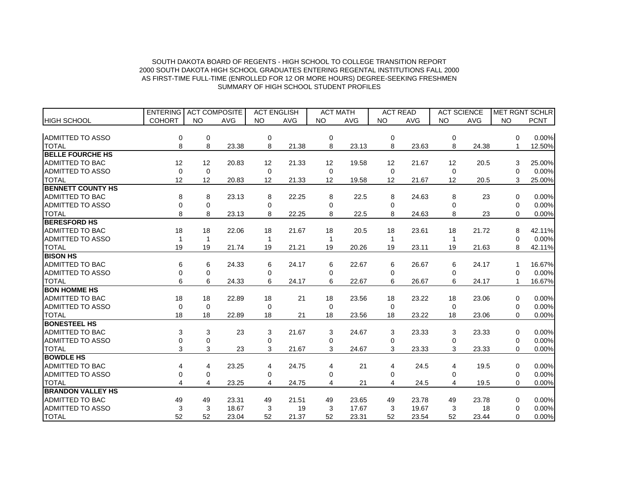|                          | <b>ENTERING</b> | <b>ACT COMPOSITE</b> |            | <b>ACT ENGLISH</b> |            |           | <b>ACT MATH</b> | <b>ACT READ</b> |            | <b>ACT SCIENCE</b> |            | MET RGNT SCHLR |             |
|--------------------------|-----------------|----------------------|------------|--------------------|------------|-----------|-----------------|-----------------|------------|--------------------|------------|----------------|-------------|
| <b>HIGH SCHOOL</b>       | <b>COHORT</b>   | <b>NO</b>            | <b>AVG</b> | <b>NO</b>          | <b>AVG</b> | <b>NO</b> | <b>AVG</b>      | <b>NO</b>       | <b>AVG</b> | <b>NO</b>          | <b>AVG</b> | <b>NO</b>      | <b>PCNT</b> |
|                          |                 |                      |            |                    |            |           |                 |                 |            |                    |            |                |             |
| ADMITTED TO ASSO         | 0               | 0                    |            | 0                  |            | 0         |                 | 0               |            | 0                  |            | $\Omega$       | 0.00%       |
| <b>TOTAL</b>             | 8               | 8                    | 23.38      | 8                  | 21.38      | 8         | 23.13           | 8               | 23.63      | 8                  | 24.38      |                | 12.50%      |
| <b>BELLE FOURCHE HS</b>  |                 |                      |            |                    |            |           |                 |                 |            |                    |            |                |             |
| <b>ADMITTED TO BAC</b>   | 12              | 12                   | 20.83      | 12                 | 21.33      | 12        | 19.58           | 12              | 21.67      | 12                 | 20.5       | 3              | 25.00%      |
| <b>ADMITTED TO ASSO</b>  | 0               | $\mathbf 0$          |            | 0                  |            | 0         |                 | $\Omega$        |            | $\Omega$           |            | $\Omega$       | 0.00%       |
| <b>TOTAL</b>             | 12              | 12                   | 20.83      | 12                 | 21.33      | 12        | 19.58           | 12              | 21.67      | 12                 | 20.5       | 3              | 25.00%      |
| <b>BENNETT COUNTY HS</b> |                 |                      |            |                    |            |           |                 |                 |            |                    |            |                |             |
| <b>ADMITTED TO BAC</b>   | 8               | 8                    | 23.13      | 8                  | 22.25      | 8         | 22.5            | 8               | 24.63      | 8                  | 23         | $\Omega$       | 0.00%       |
| <b>ADMITTED TO ASSO</b>  | 0               | 0                    |            | 0                  |            | 0         |                 | 0               |            | $\Omega$           |            | 0              | 0.00%       |
| <b>TOTAL</b>             | 8               | 8                    | 23.13      | 8                  | 22.25      | 8         | 22.5            | 8               | 24.63      | 8                  | 23         | 0              | 0.00%       |
| <b>BERESFORD HS</b>      |                 |                      |            |                    |            |           |                 |                 |            |                    |            |                |             |
| <b>ADMITTED TO BAC</b>   | 18              | 18                   | 22.06      | 18                 | 21.67      | 18        | 20.5            | 18              | 23.61      | 18                 | 21.72      | 8              | 42.11%      |
| <b>ADMITTED TO ASSO</b>  | 1               | $\mathbf{1}$         |            | -1                 |            |           |                 | 1               |            |                    |            | $\Omega$       | 0.00%       |
| <b>TOTAL</b>             | 19              | 19                   | 21.74      | 19                 | 21.21      | 19        | 20.26           | 19              | 23.11      | 19                 | 21.63      | 8              | 42.11%      |
| <b>BISON HS</b>          |                 |                      |            |                    |            |           |                 |                 |            |                    |            |                |             |
| <b>ADMITTED TO BAC</b>   | 6               | 6                    | 24.33      | 6                  | 24.17      | 6         | 22.67           | 6               | 26.67      | 6                  | 24.17      |                | 16.67%      |
| <b>ADMITTED TO ASSO</b>  | 0               | 0                    |            | 0                  |            | 0         |                 | 0               |            | 0                  |            | $\Omega$       | 0.00%       |
| <b>TOTAL</b>             | 6               | 6                    | 24.33      | 6                  | 24.17      | 6         | 22.67           | 6               | 26.67      | 6                  | 24.17      |                | 16.67%      |
| <b>BON HOMME HS</b>      |                 |                      |            |                    |            |           |                 |                 |            |                    |            |                |             |
| <b>ADMITTED TO BAC</b>   | 18              | 18                   | 22.89      | 18                 | 21         | 18        | 23.56           | 18              | 23.22      | 18                 | 23.06      | $\Omega$       | 0.00%       |
| <b>ADMITTED TO ASSO</b>  | $\Omega$        | $\Omega$             |            | $\Omega$           |            | $\Omega$  |                 | $\Omega$        |            | $\Omega$           |            | $\Omega$       | 0.00%       |
| <b>TOTAL</b>             | 18              | 18                   | 22.89      | 18                 | 21         | 18        | 23.56           | 18              | 23.22      | 18                 | 23.06      | 0              | 0.00%       |
| <b>BONESTEEL HS</b>      |                 |                      |            |                    |            |           |                 |                 |            |                    |            |                |             |
| ADMITTED TO BAC          | 3               | 3                    | 23         | 3                  | 21.67      | 3         | 24.67           | 3               | 23.33      | 3                  | 23.33      | $\Omega$       | 0.00%       |
| <b>ADMITTED TO ASSO</b>  | $\Omega$        | 0                    |            | 0                  |            | 0         |                 | <sup>0</sup>    |            | <sup>0</sup>       |            | $\Omega$       | 0.00%       |
| <b>TOTAL</b>             | 3               | 3                    | 23         | 3                  | 21.67      | 3         | 24.67           | 3               | 23.33      | 3                  | 23.33      | $\Omega$       | 0.00%       |
| <b>BOWDLE HS</b>         |                 |                      |            |                    |            |           |                 |                 |            |                    |            |                |             |
| <b>ADMITTED TO BAC</b>   | 4               | 4                    | 23.25      | 4                  | 24.75      | 4         | 21              | 4               | 24.5       | 4                  | 19.5       | $\Omega$       | 0.00%       |
| <b>ADMITTED TO ASSO</b>  | 0               | 0                    |            | 0                  |            | 0         |                 | $\Omega$        |            | O                  |            | 0              | 0.00%       |
| <b>TOTAL</b>             | 4               | 4                    | 23.25      | 4                  | 24.75      | 4         | 21              | 4               | 24.5       | 4                  | 19.5       | $\Omega$       | 0.00%       |
| <b>BRANDON VALLEY HS</b> |                 |                      |            |                    |            |           |                 |                 |            |                    |            |                |             |
| <b>ADMITTED TO BAC</b>   | 49              | 49                   | 23.31      | 49                 | 21.51      | 49        | 23.65           | 49              | 23.78      | 49                 | 23.78      | $\Omega$       | 0.00%       |
| <b>ADMITTED TO ASSO</b>  | 3               | 3                    | 18.67      | 3                  | 19         | 3         | 17.67           | 3               | 19.67      | 3                  | 18         | $\Omega$       | 0.00%       |
| <b>TOTAL</b>             | 52              | 52                   | 23.04      | 52                 | 21.37      | 52        | 23.31           | 52              | 23.54      | 52                 | 23.44      | 0              | 0.00%       |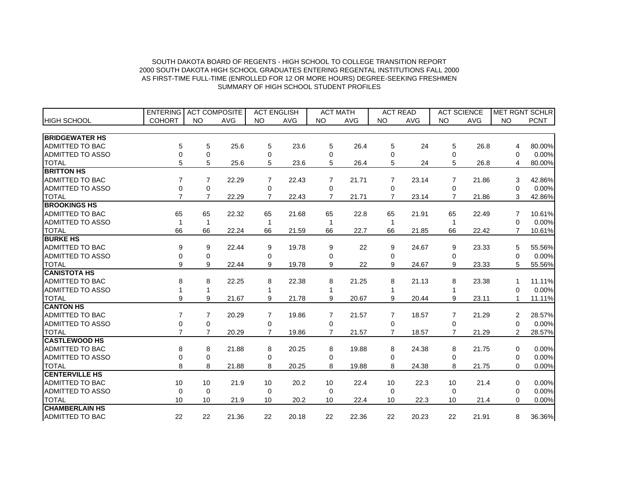|                         | <b>ENTERING</b>  | <b>ACT COMPOSITE</b> |            | <b>ACT ENGLISH</b> |            |                | <b>ACT MATH</b> |                | <b>ACT READ</b> |           | <b>ACT SCIENCE</b> |                | <b>MET RGNT SCHLR</b> |
|-------------------------|------------------|----------------------|------------|--------------------|------------|----------------|-----------------|----------------|-----------------|-----------|--------------------|----------------|-----------------------|
| <b>HIGH SCHOOL</b>      | <b>COHORT</b>    | <b>NO</b>            | <b>AVG</b> | <b>NO</b>          | <b>AVG</b> | <b>NO</b>      | AVG             | <b>NO</b>      | <b>AVG</b>      | <b>NO</b> | <b>AVG</b>         | <b>NO</b>      | <b>PCNT</b>           |
|                         |                  |                      |            |                    |            |                |                 |                |                 |           |                    |                |                       |
| <b>BRIDGEWATER HS</b>   |                  |                      |            |                    |            |                |                 |                |                 |           |                    |                |                       |
| <b>ADMITTED TO BAC</b>  | 5                | 5                    | 25.6       | 5                  | 23.6       | 5              | 26.4            | 5              | 24              | 5         | 26.8               | 4              | 80.00%                |
| <b>ADMITTED TO ASSO</b> | 0                | 0                    |            | 0                  |            | 0              |                 | 0              |                 | 0         |                    | 0              | 0.00%                 |
| <b>TOTAL</b>            | 5                | 5                    | 25.6       | 5                  | 23.6       | 5              | 26.4            | 5              | 24              | 5         | 26.8               | 4              | 80.00%                |
| <b>BRITTON HS</b>       |                  |                      |            |                    |            |                |                 |                |                 |           |                    |                |                       |
| <b>ADMITTED TO BAC</b>  | 7                | 7                    | 22.29      | 7                  | 22.43      | 7              | 21.71           | 7              | 23.14           | 7         | 21.86              | 3              | 42.86%                |
| <b>ADMITTED TO ASSO</b> | 0                | 0                    |            | 0                  |            | 0              |                 | 0              |                 | 0         |                    | 0              | 0.00%                 |
| <b>TOTAL</b>            | $\overline{7}$   | $\overline{7}$       | 22.29      | $\overline{7}$     | 22.43      | $\overline{7}$ | 21.71           | $\overline{7}$ | 23.14           | 7         | 21.86              | 3              | 42.86%                |
| <b>BROOKINGS HS</b>     |                  |                      |            |                    |            |                |                 |                |                 |           |                    |                |                       |
| ADMITTED TO BAC         | 65               | 65                   | 22.32      | 65                 | 21.68      | 65             | 22.8            | 65             | 21.91           | 65        | 22.49              | 7              | 10.61%                |
| <b>ADMITTED TO ASSO</b> |                  | $\mathbf{1}$         |            | 1                  |            |                |                 |                |                 |           |                    | 0              | 0.00%                 |
| <b>TOTAL</b>            | 66               | 66                   | 22.24      | 66                 | 21.59      | 66             | 22.7            | 66             | 21.85           | 66        | 22.42              | $\overline{7}$ | 10.61%                |
| <b>BURKE HS</b>         |                  |                      |            |                    |            |                |                 |                |                 |           |                    |                |                       |
| <b>ADMITTED TO BAC</b>  | 9                | 9                    | 22.44      | 9                  | 19.78      | 9              | 22              | 9              | 24.67           | 9         | 23.33              | 5              | 55.56%                |
| <b>ADMITTED TO ASSO</b> | 0                | 0                    |            | 0                  |            | 0              |                 | $\Omega$       |                 | $\Omega$  |                    | $\Omega$       | 0.00%                 |
| <b>TOTAL</b>            | 9                | 9                    | 22.44      | 9                  | 19.78      | 9              | 22              | 9              | 24.67           | 9         | 23.33              | 5              | 55.56%                |
| <b>CANISTOTA HS</b>     |                  |                      |            |                    |            |                |                 |                |                 |           |                    |                |                       |
| <b>ADMITTED TO BAC</b>  | 8                | 8                    | 22.25      | 8                  | 22.38      | 8              | 21.25           | 8              | 21.13           | 8         | 23.38              |                | 11.11%                |
| <b>ADMITTED TO ASSO</b> |                  | 1                    |            | 1                  |            |                |                 |                |                 |           |                    | 0              | 0.00%                 |
| <b>TOTAL</b>            | 9                | 9                    | 21.67      | 9                  | 21.78      | 9              | 20.67           | 9              | 20.44           | 9         | 23.11              | 1              | 11.11%                |
| <b>CANTON HS</b>        |                  |                      |            |                    |            |                |                 |                |                 |           |                    |                |                       |
| <b>ADMITTED TO BAC</b>  | 7                | 7                    | 20.29      | $\overline{7}$     | 19.86      | 7              | 21.57           | $\overline{7}$ | 18.57           | 7         | 21.29              | 2              | 28.57%                |
| <b>ADMITTED TO ASSO</b> | $\boldsymbol{0}$ | $\mathbf 0$          |            | 0                  |            | 0              |                 | 0              |                 | 0         |                    | 0              | 0.00%                 |
| <b>TOTAL</b>            | $\overline{7}$   | $\overline{7}$       | 20.29      | $\overline{7}$     | 19.86      | $\overline{7}$ | 21.57           | $\overline{7}$ | 18.57           | 7         | 21.29              | 2              | 28.57%                |
| <b>CASTLEWOOD HS</b>    |                  |                      |            |                    |            |                |                 |                |                 |           |                    |                |                       |
| <b>ADMITTED TO BAC</b>  | 8                | 8                    | 21.88      | 8                  | 20.25      | 8              | 19.88           | 8              | 24.38           | 8         | 21.75              | 0              | 0.00%                 |
| <b>ADMITTED TO ASSO</b> | 0                | 0                    |            | 0                  |            | 0              |                 | 0              |                 | 0         |                    | 0              | 0.00%                 |
| <b>TOTAL</b>            | 8                | 8                    | 21.88      | 8                  | 20.25      | 8              | 19.88           | 8              | 24.38           | 8         | 21.75              | $\Omega$       | 0.00%                 |
| <b>CENTERVILLE HS</b>   |                  |                      |            |                    |            |                |                 |                |                 |           |                    |                |                       |
| <b>ADMITTED TO BAC</b>  | 10               | 10                   | 21.9       | 10                 | 20.2       | 10             | 22.4            | 10             | 22.3            | 10        | 21.4               | 0              | 0.00%                 |
| <b>ADMITTED TO ASSO</b> | $\mathbf 0$      | $\Omega$             |            | $\Omega$           |            | $\Omega$       |                 | $\Omega$       |                 | $\Omega$  |                    | 0              | 0.00%                 |
| <b>TOTAL</b>            | 10               | 10                   | 21.9       | 10                 | 20.2       | 10             | 22.4            | 10             | 22.3            | 10        | 21.4               | $\Omega$       | 0.00%                 |
| <b>CHAMBERLAIN HS</b>   |                  |                      |            |                    |            |                |                 |                |                 |           |                    |                |                       |
| <b>ADMITTED TO BAC</b>  | 22               | 22                   | 21.36      | 22                 | 20.18      | 22             | 22.36           | 22             | 20.23           | 22        | 21.91              | 8              | 36.36%                |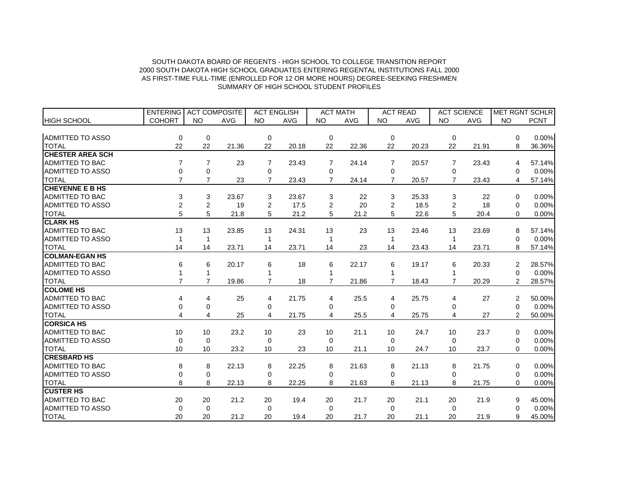|                         | <b>ENTERING</b> | <b>ACT COMPOSITE</b> |            | <b>ACT ENGLISH</b> |            |                | <b>ACT MATH</b> | <b>ACT READ</b> |            | <b>ACT SCIENCE</b> |            |                | MET RGNT SCHLR |
|-------------------------|-----------------|----------------------|------------|--------------------|------------|----------------|-----------------|-----------------|------------|--------------------|------------|----------------|----------------|
| <b>HIGH SCHOOL</b>      | <b>COHORT</b>   | <b>NO</b>            | <b>AVG</b> | <b>NO</b>          | <b>AVG</b> | <b>NO</b>      | <b>AVG</b>      | <b>NO</b>       | <b>AVG</b> | <b>NO</b>          | <b>AVG</b> | <b>NO</b>      | <b>PCNT</b>    |
|                         |                 |                      |            |                    |            |                |                 |                 |            |                    |            |                |                |
| ADMITTED TO ASSO        | 0               | 0                    |            | 0                  |            | 0              |                 | 0               |            | $\Omega$           |            | $\Omega$       | 0.00%          |
| <b>TOTAL</b>            | 22              | 22                   | 21.36      | 22                 | 20.18      | 22             | 22.36           | 22              | 20.23      | 22                 | 21.91      | 8              | 36.36%         |
| <b>CHESTER AREA SCH</b> |                 |                      |            |                    |            |                |                 |                 |            |                    |            |                |                |
| <b>ADMITTED TO BAC</b>  | $\overline{7}$  | $\overline{7}$       | 23         | $\overline{7}$     | 23.43      | $\overline{7}$ | 24.14           | $\overline{7}$  | 20.57      | 7                  | 23.43      | 4              | 57.14%         |
| <b>ADMITTED TO ASSO</b> | 0               | 0                    |            | 0                  |            | 0              |                 | 0               |            | 0                  |            | $\Omega$       | 0.00%          |
| <b>TOTAL</b>            | $\overline{7}$  | $\overline{7}$       | 23         | $\overline{7}$     | 23.43      | $\overline{7}$ | 24.14           | $\overline{7}$  | 20.57      |                    | 23.43      | 4              | 57.14%         |
| <b>CHEYENNE E B HS</b>  |                 |                      |            |                    |            |                |                 |                 |            |                    |            |                |                |
| <b>ADMITTED TO BAC</b>  | 3               | 3                    | 23.67      | 3                  | 23.67      | 3              | 22              | 3               | 25.33      | 3                  | 22         | 0              | 0.00%          |
| <b>ADMITTED TO ASSO</b> | $\overline{c}$  | $\overline{c}$       | 19         | 2                  | 17.5       | $\overline{2}$ | 20              | 2               | 18.5       | 2                  | 18         | 0              | 0.00%          |
| <b>TOTAL</b>            | 5               | 5                    | 21.8       | 5                  | 21.2       | 5              | 21.2            | 5               | 22.6       | 5                  | 20.4       | $\Omega$       | 0.00%          |
| <b>CLARK HS</b>         |                 |                      |            |                    |            |                |                 |                 |            |                    |            |                |                |
| <b>ADMITTED TO BAC</b>  | 13              | 13                   | 23.85      | 13                 | 24.31      | 13             | 23              | 13              | 23.46      | 13                 | 23.69      | 8              | 57.14%         |
| <b>ADMITTED TO ASSO</b> | 1               | $\mathbf 1$          |            | 1                  |            |                |                 | 1               |            |                    |            | 0              | 0.00%          |
| <b>TOTAL</b>            | 14              | 14                   | 23.71      | 14                 | 23.71      | 14             | 23              | 14              | 23.43      | 14                 | 23.71      | 8              | 57.14%         |
| <b>COLMAN-EGAN HS</b>   |                 |                      |            |                    |            |                |                 |                 |            |                    |            |                |                |
| ADMITTED TO BAC         | 6               | 6                    | 20.17      | 6                  | 18         | 6              | 22.17           | 6               | 19.17      | 6                  | 20.33      | 2              | 28.57%         |
| <b>ADMITTED TO ASSO</b> |                 | $\mathbf{1}$         |            |                    |            |                |                 |                 |            |                    |            | $\Omega$       | 0.00%          |
| <b>TOTAL</b>            | $\overline{7}$  | $\overline{7}$       | 19.86      | 7                  | 18         | 7              | 21.86           | $\overline{7}$  | 18.43      |                    | 20.29      | $\overline{2}$ | 28.57%         |
| <b>COLOME HS</b>        |                 |                      |            |                    |            |                |                 |                 |            |                    |            |                |                |
| <b>ADMITTED TO BAC</b>  | 4               | 4                    | 25         | 4                  | 21.75      | 4              | 25.5            | 4               | 25.75      | 4                  | 27         | 2              | 50.00%         |
| <b>ADMITTED TO ASSO</b> | 0               | 0                    |            | 0                  |            | 0              |                 | 0               |            | $\Omega$           |            | $\Omega$       | 0.00%          |
| <b>TOTAL</b>            | 4               | 4                    | 25         | 4                  | 21.75      | 4              | 25.5            | 4               | 25.75      | 4                  | 27         | $\overline{2}$ | 50.00%         |
| <b>CORSICA HS</b>       |                 |                      |            |                    |            |                |                 |                 |            |                    |            |                |                |
| <b>ADMITTED TO BAC</b>  | 10              | 10                   | 23.2       | 10                 | 23         | 10             | 21.1            | 10              | 24.7       | 10                 | 23.7       | $\Omega$       | 0.00%          |
| <b>ADMITTED TO ASSO</b> | $\Omega$        | $\Omega$             |            | $\Omega$           |            | $\Omega$       |                 | $\Omega$        |            | $\Omega$           |            | 0              | 0.00%          |
| <b>TOTAL</b>            | 10              | 10                   | 23.2       | 10                 | 23         | 10             | 21.1            | 10              | 24.7       | 10                 | 23.7       | $\Omega$       | 0.00%          |
| <b>CRESBARD HS</b>      |                 |                      |            |                    |            |                |                 |                 |            |                    |            |                |                |
| ADMITTED TO BAC         | 8               | 8                    | 22.13      | 8                  | 22.25      | 8              | 21.63           | 8               | 21.13      | 8                  | 21.75      | $\Omega$       | 0.00%          |
| ADMITTED TO ASSO        | 0               | 0                    |            | 0                  |            | $\Omega$       |                 | $\Omega$        |            | $\Omega$           |            | $\Omega$       | 0.00%          |
| <b>TOTAL</b>            | 8               | 8                    | 22.13      | 8                  | 22.25      | 8              | 21.63           | 8               | 21.13      | 8                  | 21.75      | $\Omega$       | 0.00%          |
| <b>CUSTER HS</b>        |                 |                      |            |                    |            |                |                 |                 |            |                    |            |                |                |
| <b>ADMITTED TO BAC</b>  | 20              | 20                   | 21.2       | 20                 | 19.4       | 20             | 21.7            | 20              | 21.1       | 20                 | 21.9       | 9              | 45.00%         |
| ADMITTED TO ASSO        | $\Omega$        | $\Omega$             |            | 0                  |            | $\Omega$       |                 | $\Omega$        |            | $\Omega$           |            | $\Omega$       | 0.00%          |
| <b>TOTAL</b>            | 20              | 20                   | 21.2       | 20                 | 19.4       | 20             | 21.7            | 20              | 21.1       | 20                 | 21.9       | 9              | 45.00%         |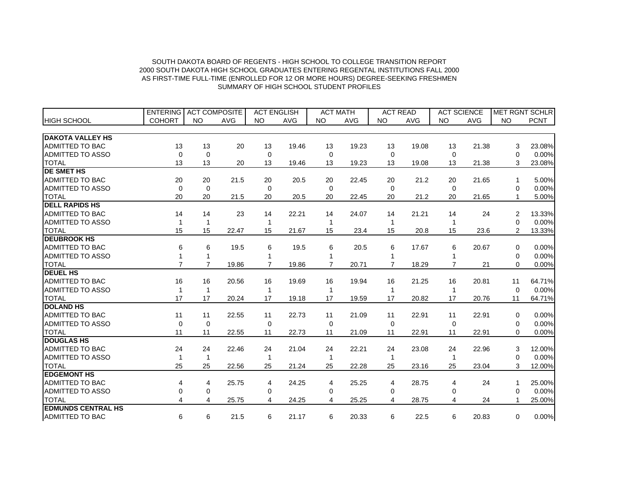|                           | <b>ENTERING</b> | <b>ACT COMPOSITE</b> |            |                | <b>ACT ENGLISH</b> |                | <b>ACT MATH</b> |                | <b>ACT READ</b> |                | <b>ACT SCIENCE</b> |                | <b>MET RGNT SCHLR</b> |
|---------------------------|-----------------|----------------------|------------|----------------|--------------------|----------------|-----------------|----------------|-----------------|----------------|--------------------|----------------|-----------------------|
| <b>HIGH SCHOOL</b>        | <b>COHORT</b>   | <b>NO</b>            | <b>AVG</b> | <b>NO</b>      | <b>AVG</b>         | <b>NO</b>      | <b>AVG</b>      | <b>NO</b>      | <b>AVG</b>      | <b>NO</b>      | <b>AVG</b>         | <b>NO</b>      | <b>PCNT</b>           |
|                           |                 |                      |            |                |                    |                |                 |                |                 |                |                    |                |                       |
| <b>DAKOTA VALLEY HS</b>   |                 |                      |            |                |                    |                |                 |                |                 |                |                    |                |                       |
| <b>ADMITTED TO BAC</b>    | 13              | 13                   | 20         | 13             | 19.46              | 13             | 19.23           | 13             | 19.08           | 13             | 21.38              | 3              | 23.08%                |
| <b>ADMITTED TO ASSO</b>   | $\Omega$        | $\Omega$             |            | 0              |                    | $\Omega$       |                 | $\Omega$       |                 | $\Omega$       |                    | 0              | 0.00%                 |
| <b>TOTAL</b>              | 13              | 13                   | 20         | 13             | 19.46              | 13             | 19.23           | 13             | 19.08           | 13             | 21.38              | 3              | 23.08%                |
| <b>DE SMET HS</b>         |                 |                      |            |                |                    |                |                 |                |                 |                |                    |                |                       |
| ADMITTED TO BAC           | 20              | 20                   | 21.5       | 20             | 20.5               | 20             | 22.45           | 20             | 21.2            | 20             | 21.65              | 1              | 5.00%                 |
| <b>ADMITTED TO ASSO</b>   | 0               | 0                    |            | $\Omega$       |                    | $\mathbf 0$    |                 | $\Omega$       |                 | $\Omega$       |                    | 0              | 0.00%                 |
| <b>TOTAL</b>              | 20              | 20                   | 21.5       | 20             | 20.5               | 20             | 22.45           | 20             | 21.2            | 20             | 21.65              |                | 5.00%                 |
| <b>DELL RAPIDS HS</b>     |                 |                      |            |                |                    |                |                 |                |                 |                |                    |                |                       |
| <b>ADMITTED TO BAC</b>    | 14              | 14                   | 23         | 14             | 22.21              | 14             | 24.07           | 14             | 21.21           | 14             | 24                 | 2              | 13.33%                |
| <b>ADMITTED TO ASSO</b>   | 1               | 1                    |            | 1              |                    |                |                 |                |                 |                |                    | 0              | 0.00%                 |
| <b>TOTAL</b>              | 15              | 15                   | 22.47      | 15             | 21.67              | 15             | 23.4            | 15             | 20.8            | 15             | 23.6               | $\overline{2}$ | 13.33%                |
| <b>DEUBROOK HS</b>        |                 |                      |            |                |                    |                |                 |                |                 |                |                    |                |                       |
| ADMITTED TO BAC           | 6               | 6                    | 19.5       | 6              | 19.5               | 6              | 20.5            | 6              | 17.67           | 6              | 20.67              | $\Omega$       | 0.00%                 |
| ADMITTED TO ASSO          | 1               | 1                    |            | 1              |                    |                |                 |                |                 |                |                    | 0              | 0.00%                 |
| <b>TOTAL</b>              | $\overline{7}$  | $\overline{7}$       | 19.86      | $\overline{7}$ | 19.86              | $\overline{7}$ | 20.71           | $\overline{7}$ | 18.29           | $\overline{7}$ | 21                 | $\Omega$       | 0.00%                 |
| <b>DEUEL HS</b>           |                 |                      |            |                |                    |                |                 |                |                 |                |                    |                |                       |
| <b>ADMITTED TO BAC</b>    | 16              | 16                   | 20.56      | 16             | 19.69              | 16             | 19.94           | 16             | 21.25           | 16             | 20.81              | 11             | 64.71%                |
| ADMITTED TO ASSO          | 1               | 1                    |            | 1              |                    |                |                 |                |                 |                |                    | $\Omega$       | 0.00%                 |
| <b>TOTAL</b>              | 17              | 17                   | 20.24      | 17             | 19.18              | 17             | 19.59           | 17             | 20.82           | 17             | 20.76              | 11             | 64.71%                |
| <b>DOLAND HS</b>          |                 |                      |            |                |                    |                |                 |                |                 |                |                    |                |                       |
| <b>ADMITTED TO BAC</b>    | 11              | 11                   | 22.55      | 11             | 22.73              | 11             | 21.09           | 11             | 22.91           | 11             | 22.91              | 0              | 0.00%                 |
| ADMITTED TO ASSO          | $\mathbf 0$     | $\Omega$             |            | $\mathbf 0$    |                    | $\Omega$       |                 | 0              |                 | $\Omega$       |                    | $\Omega$       | 0.00%                 |
| <b>TOTAL</b>              | 11              | 11                   | 22.55      | 11             | 22.73              | 11             | 21.09           | 11             | 22.91           | 11             | 22.91              | $\Omega$       | 0.00%                 |
| <b>DOUGLAS HS</b>         |                 |                      |            |                |                    |                |                 |                |                 |                |                    |                |                       |
| <b>ADMITTED TO BAC</b>    | 24              | 24                   | 22.46      | 24             | 21.04              | 24             | 22.21           | 24             | 23.08           | 24             | 22.96              | 3              | 12.00%                |
| ADMITTED TO ASSO          | 1               | 1                    |            | 1              |                    |                |                 |                |                 |                |                    | 0              | 0.00%                 |
| <b>TOTAL</b>              | 25              | 25                   | 22.56      | 25             | 21.24              | 25             | 22.28           | 25             | 23.16           | 25             | 23.04              | 3              | 12.00%                |
| <b>EDGEMONT HS</b>        |                 |                      |            |                |                    |                |                 |                |                 |                |                    |                |                       |
| <b>ADMITTED TO BAC</b>    | 4               | 4                    | 25.75      | 4              | 24.25              | 4              | 25.25           | 4              | 28.75           | 4              | 24                 | 1              | 25.00%                |
| ADMITTED TO ASSO          | 0               | $\mathbf 0$          |            | 0              |                    | 0              |                 | 0              |                 | 0              |                    | 0              | 0.00%                 |
| <b>TOTAL</b>              | 4               | 4                    | 25.75      | 4              | 24.25              | 4              | 25.25           | 4              | 28.75           | 4              | 24                 | 1              | 25.00%                |
| <b>EDMUNDS CENTRAL HS</b> |                 |                      |            |                |                    |                |                 |                |                 |                |                    |                |                       |
| <b>ADMITTED TO BAC</b>    | 6               | 6                    | 21.5       | 6              | 21.17              | 6              | 20.33           | 6              | 22.5            | 6              | 20.83              | 0              | 0.00%                 |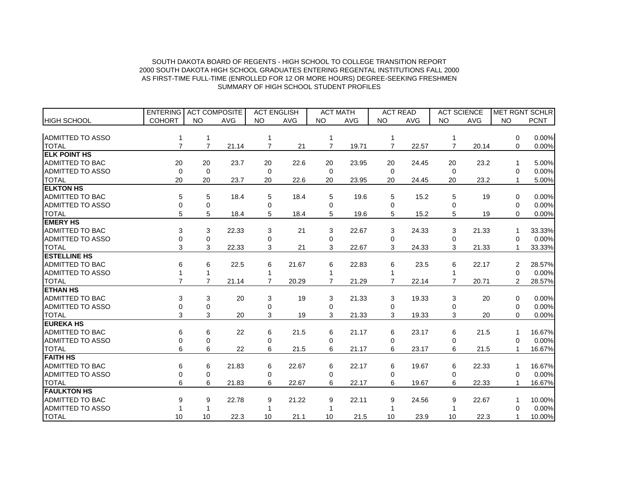|                         | <b>ENTERING</b> | <b>ACT COMPOSITE</b> |            | <b>ACT ENGLISH</b> |            |                | <b>ACT MATH</b> | <b>ACT READ</b> |            |                | <b>ACT SCIENCE</b> |           | <b>MET RGNT SCHLR</b> |
|-------------------------|-----------------|----------------------|------------|--------------------|------------|----------------|-----------------|-----------------|------------|----------------|--------------------|-----------|-----------------------|
| <b>HIGH SCHOOL</b>      | <b>COHORT</b>   | <b>NO</b>            | <b>AVG</b> | <b>NO</b>          | <b>AVG</b> | <b>NO</b>      | <b>AVG</b>      | <b>NO</b>       | <b>AVG</b> | <b>NO</b>      | <b>AVG</b>         | <b>NO</b> | <b>PCNT</b>           |
|                         |                 |                      |            |                    |            |                |                 |                 |            |                |                    |           |                       |
| <b>ADMITTED TO ASSO</b> |                 |                      |            |                    |            |                |                 |                 |            |                |                    | 0         | 0.00%                 |
| <b>TOTAL</b>            | $\overline{7}$  | $\overline{7}$       | 21.14      | 7                  | 21         | $\overline{7}$ | 19.71           | $\overline{7}$  | 22.57      | $\overline{7}$ | 20.14              | $\Omega$  | 0.00%                 |
| <b>ELK POINT HS</b>     |                 |                      |            |                    |            |                |                 |                 |            |                |                    |           |                       |
| <b>ADMITTED TO BAC</b>  | 20              | 20                   | 23.7       | 20                 | 22.6       | 20             | 23.95           | 20              | 24.45      | 20             | 23.2               | 1         | 5.00%                 |
| <b>ADMITTED TO ASSO</b> | 0               | $\mathbf 0$          |            | 0                  |            | $\mathbf 0$    |                 | $\mathbf 0$     |            | 0              |                    | 0         | 0.00%                 |
| <b>TOTAL</b>            | 20              | 20                   | 23.7       | 20                 | 22.6       | 20             | 23.95           | 20              | 24.45      | 20             | 23.2               |           | 5.00%                 |
| <b>ELKTON HS</b>        |                 |                      |            |                    |            |                |                 |                 |            |                |                    |           |                       |
| <b>ADMITTED TO BAC</b>  | 5               | 5                    | 18.4       | 5                  | 18.4       | 5              | 19.6            | 5               | 15.2       | 5              | 19                 | 0         | 0.00%                 |
| <b>ADMITTED TO ASSO</b> | 0               | 0                    |            | 0                  |            | 0              |                 | 0               |            | 0              |                    | 0         | 0.00%                 |
| <b>TOTAL</b>            | 5               | 5                    | 18.4       | 5                  | 18.4       | 5              | 19.6            | 5               | 15.2       | 5              | 19                 | $\Omega$  | 0.00%                 |
| <b>EMERY HS</b>         |                 |                      |            |                    |            |                |                 |                 |            |                |                    |           |                       |
| <b>ADMITTED TO BAC</b>  | 3               | 3                    | 22.33      | 3                  | 21         | 3              | 22.67           | 3               | 24.33      | 3              | 21.33              |           | 33.33%                |
| <b>ADMITTED TO ASSO</b> | 0               | $\overline{0}$       |            | 0                  |            | 0              |                 | 0               |            | $\Omega$       |                    | ∩         | 0.00%                 |
| <b>TOTAL</b>            | 3               | 3                    | 22.33      | 3                  | 21         | 3              | 22.67           | 3               | 24.33      | 3              | 21.33              |           | 33.33%                |
| <b>ESTELLINE HS</b>     |                 |                      |            |                    |            |                |                 |                 |            |                |                    |           |                       |
| <b>ADMITTED TO BAC</b>  | 6               | 6                    | 22.5       | 6                  | 21.67      | 6              | 22.83           | 6               | 23.5       | 6              | 22.17              | 2         | 28.57%                |
| <b>ADMITTED TO ASSO</b> |                 |                      |            |                    |            |                |                 |                 |            |                |                    | $\Omega$  | 0.00%                 |
| <b>TOTAL</b>            |                 | 7                    | 21.14      | 7                  | 20.29      | 7              | 21.29           | 7               | 22.14      |                | 20.71              | 2         | 28.57%                |
| <b>ETHAN HS</b>         |                 |                      |            |                    |            |                |                 |                 |            |                |                    |           |                       |
| ADMITTED TO BAC         | 3               | 3                    | 20         | 3                  | 19         | 3              | 21.33           | 3               | 19.33      | 3              | 20                 | $\Omega$  | 0.00%                 |
| <b>ADMITTED TO ASSO</b> | 0               | 0                    |            | 0                  |            | $\Omega$       |                 | 0               |            | $\Omega$       |                    | 0         | 0.00%                 |
| <b>TOTAL</b>            | 3               | 3                    | 20         | 3                  | 19         | 3              | 21.33           | 3               | 19.33      | 3              | 20                 | 0         | 0.00%                 |
| <b>EUREKA HS</b>        |                 |                      |            |                    |            |                |                 |                 |            |                |                    |           |                       |
| <b>ADMITTED TO BAC</b>  | 6               | 6                    | 22         | 6                  | 21.5       | 6              | 21.17           | 6               | 23.17      | 6              | 21.5               |           | 16.67%                |
| <b>ADMITTED TO ASSO</b> | 0               | 0                    |            | 0                  |            | 0              |                 | 0               |            | $\Omega$       |                    | 0         | 0.00%                 |
| <b>TOTAL</b>            | 6               | 6                    | 22         | 6                  | 21.5       | 6              | 21.17           | 6               | 23.17      | 6              | 21.5               |           | 16.67%                |
| <b>FAITH HS</b>         |                 |                      |            |                    |            |                |                 |                 |            |                |                    |           |                       |
| <b>ADMITTED TO BAC</b>  | 6               | 6                    | 21.83      | 6                  | 22.67      | 6              | 22.17           | 6               | 19.67      | 6              | 22.33              |           | 16.67%                |
| ADMITTED TO ASSO        | 0               | $\mathbf 0$          |            | 0                  |            | 0              |                 | $\Omega$        |            | 0              |                    | 0         | 0.00%                 |
| <b>TOTAL</b>            | 6               | 6                    | 21.83      | 6                  | 22.67      | 6              | 22.17           | 6               | 19.67      | 6              | 22.33              | 1         | 16.67%                |
| <b>FAULKTON HS</b>      |                 |                      |            |                    |            |                |                 |                 |            |                |                    |           |                       |
| ADMITTED TO BAC         | 9               | 9                    | 22.78      | 9                  | 21.22      | 9              | 22.11           | 9               | 24.56      | 9              | 22.67              |           | 10.00%                |
| ADMITTED TO ASSO        |                 |                      |            |                    |            |                |                 |                 |            |                |                    | ∩         | 0.00%                 |
| <b>TOTAL</b>            | 10              | 10                   | 22.3       | 10                 | 21.1       | 10             | 21.5            | 10              | 23.9       | 10             | 22.3               |           | 10.00%                |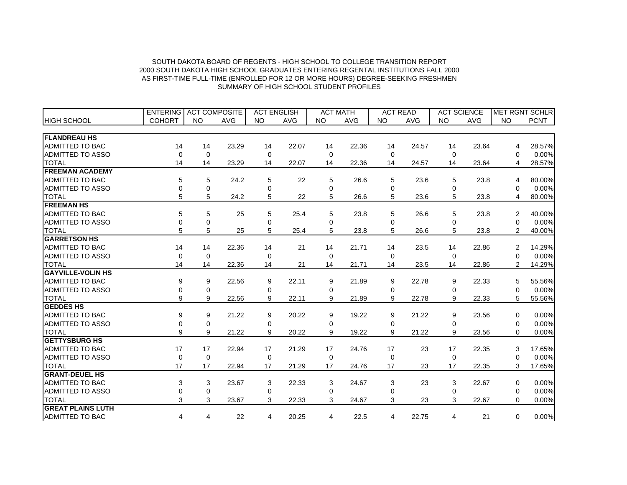|                          | <b>ENTERING</b> | <b>ACT COMPOSITE</b> |            | <b>ACT ENGLISH</b> |            |           | <b>ACT MATH</b> |           | <b>ACT READ</b> |           | <b>ACT SCIENCE</b> |                | <b>MET RGNT SCHLR</b> |
|--------------------------|-----------------|----------------------|------------|--------------------|------------|-----------|-----------------|-----------|-----------------|-----------|--------------------|----------------|-----------------------|
| <b>HIGH SCHOOL</b>       | <b>COHORT</b>   | <b>NO</b>            | <b>AVG</b> | <b>NO</b>          | <b>AVG</b> | <b>NO</b> | <b>AVG</b>      | <b>NO</b> | <b>AVG</b>      | <b>NO</b> | <b>AVG</b>         | <b>NO</b>      | <b>PCNT</b>           |
|                          |                 |                      |            |                    |            |           |                 |           |                 |           |                    |                |                       |
| <b>FLANDREAU HS</b>      |                 |                      |            |                    |            |           |                 |           |                 |           |                    |                |                       |
| ADMITTED TO BAC          | 14              | 14                   | 23.29      | 14                 | 22.07      | 14        | 22.36           | 14        | 24.57           | 14        | 23.64              | 4              | 28.57%                |
| <b>ADMITTED TO ASSO</b>  | 0               | 0                    |            | 0                  |            | 0         |                 | 0         |                 | $\Omega$  |                    | $\Omega$       | 0.00%                 |
| <b>TOTAL</b>             | 14              | 14                   | 23.29      | 14                 | 22.07      | 14        | 22.36           | 14        | 24.57           | 14        | 23.64              | 4              | 28.57%                |
| <b>FREEMAN ACADEMY</b>   |                 |                      |            |                    |            |           |                 |           |                 |           |                    |                |                       |
| <b>ADMITTED TO BAC</b>   | 5               | 5                    | 24.2       | 5                  | 22         | 5         | 26.6            | 5         | 23.6            | 5         | 23.8               | 4              | 80.00%                |
| <b>ADMITTED TO ASSO</b>  | 0               | 0                    |            | 0                  |            | 0         |                 | 0         |                 | 0         |                    | 0              | 0.00%                 |
| <b>TOTAL</b>             | 5               | 5                    | 24.2       | 5                  | 22         | 5         | 26.6            | 5         | 23.6            | 5         | 23.8               | 4              | 80.00%                |
| <b>FREEMAN HS</b>        |                 |                      |            |                    |            |           |                 |           |                 |           |                    |                |                       |
| <b>ADMITTED TO BAC</b>   | 5               | 5                    | 25         | 5                  | 25.4       | 5         | 23.8            | 5         | 26.6            | 5         | 23.8               | 2              | 40.00%                |
| <b>ADMITTED TO ASSO</b>  | 0               | $\mathbf 0$          |            | $\Omega$           |            | $\Omega$  |                 | $\Omega$  |                 | $\Omega$  |                    | $\Omega$       | 0.00%                 |
| <b>TOTAL</b>             | 5               | 5                    | 25         | 5                  | 25.4       | 5         | 23.8            | 5         | 26.6            | 5         | 23.8               | $\overline{2}$ | 40.00%                |
| <b>GARRETSON HS</b>      |                 |                      |            |                    |            |           |                 |           |                 |           |                    |                |                       |
| ADMITTED TO BAC          | 14              | 14                   | 22.36      | 14                 | 21         | 14        | 21.71           | 14        | 23.5            | 14        | 22.86              | 2              | 14.29%                |
| <b>ADMITTED TO ASSO</b>  | $\mathbf 0$     | $\mathbf 0$          |            | $\Omega$           |            | $\Omega$  |                 | $\Omega$  |                 | $\Omega$  |                    | $\Omega$       | 0.00%                 |
| <b>TOTAL</b>             | 14              | 14                   | 22.36      | 14                 | 21         | 14        | 21.71           | 14        | 23.5            | 14        | 22.86              | $\overline{2}$ | 14.29%                |
| <b>GAYVILLE-VOLIN HS</b> |                 |                      |            |                    |            |           |                 |           |                 |           |                    |                |                       |
| <b>ADMITTED TO BAC</b>   | 9               | 9                    | 22.56      | 9                  | 22.11      | 9         | 21.89           | 9         | 22.78           | 9         | 22.33              | 5              | 55.56%                |
| ADMITTED TO ASSO         | 0               | 0                    |            | $\Omega$           |            | $\Omega$  |                 | $\Omega$  |                 | $\Omega$  |                    | $\Omega$       | 0.00%                 |
| <b>TOTAL</b>             | 9               | 9                    | 22.56      | 9                  | 22.11      | 9         | 21.89           | 9         | 22.78           | 9         | 22.33              | 5              | 55.56%                |
| <b>GEDDES HS</b>         |                 |                      |            |                    |            |           |                 |           |                 |           |                    |                |                       |
| <b>ADMITTED TO BAC</b>   | 9               | 9                    | 21.22      | 9                  | 20.22      | 9         | 19.22           | 9         | 21.22           | 9         | 23.56              | $\Omega$       | 0.00%                 |
| ADMITTED TO ASSO         | 0               | $\mathbf 0$          |            | 0                  |            | 0         |                 | 0         |                 | 0         |                    | 0              | 0.00%                 |
| <b>TOTAL</b>             | 9               | 9                    | 21.22      | 9                  | 20.22      | 9         | 19.22           | 9         | 21.22           | 9         | 23.56              | $\Omega$       | 0.00%                 |
| <b>GETTYSBURG HS</b>     |                 |                      |            |                    |            |           |                 |           |                 |           |                    |                |                       |
| <b>ADMITTED TO BAC</b>   | 17              | 17                   | 22.94      | 17                 | 21.29      | 17        | 24.76           | 17        | 23              | 17        | 22.35              | 3              | 17.65%                |
| ADMITTED TO ASSO         | $\mathbf 0$     | $\mathbf 0$          |            | 0                  |            | 0         |                 | 0         |                 | $\Omega$  |                    | 0              | 0.00%                 |
| <b>TOTAL</b>             | 17              | 17                   | 22.94      | 17                 | 21.29      | 17        | 24.76           | 17        | 23              | 17        | 22.35              | 3              | 17.65%                |
| <b>GRANT-DEUEL HS</b>    |                 |                      |            |                    |            |           |                 |           |                 |           |                    |                |                       |
| <b>ADMITTED TO BAC</b>   | 3               | 3                    | 23.67      | 3                  | 22.33      | 3         | 24.67           | 3         | 23              | 3         | 22.67              | 0              | 0.00%                 |
| ADMITTED TO ASSO         | 0               | $\mathbf 0$          |            | 0                  |            | 0         |                 | 0         |                 | 0         |                    | $\Omega$       | 0.00%                 |
| <b>TOTAL</b>             | 3               | 3                    | 23.67      | 3                  | 22.33      | 3         | 24.67           | 3         | 23              | 3         | 22.67              | $\Omega$       | 0.00%                 |
| <b>GREAT PLAINS LUTH</b> |                 |                      |            |                    |            |           |                 |           |                 |           |                    |                |                       |
| <b>ADMITTED TO BAC</b>   | 4               | 4                    | 22         | 4                  | 20.25      | 4         | 22.5            | 4         | 22.75           | 4         | 21                 | 0              | 0.00%                 |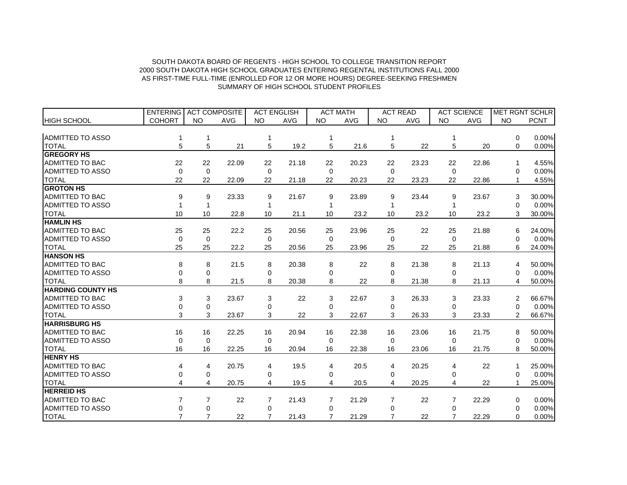|                          | <b>ENTERING</b> | <b>ACT COMPOSITE</b> |            | <b>ACT ENGLISH</b> |            |             | <b>ACT MATH</b> | <b>ACT READ</b> |            |             | <b>ACT SCIENCE</b> |                | <b>MET RGNT SCHLR</b> |
|--------------------------|-----------------|----------------------|------------|--------------------|------------|-------------|-----------------|-----------------|------------|-------------|--------------------|----------------|-----------------------|
| <b>HIGH SCHOOL</b>       | <b>COHORT</b>   | <b>NO</b>            | <b>AVG</b> | <b>NO</b>          | <b>AVG</b> | <b>NO</b>   | <b>AVG</b>      | <b>NO</b>       | <b>AVG</b> | <b>NO</b>   | <b>AVG</b>         | <b>NO</b>      | <b>PCNT</b>           |
|                          |                 |                      |            |                    |            |             |                 |                 |            |             |                    |                |                       |
| <b>ADMITTED TO ASSO</b>  |                 |                      |            |                    |            |             |                 |                 |            |             |                    | 0              | 0.00%                 |
| <b>TOTAL</b>             | 5               | 5                    | 21         | 5                  | 19.2       | 5           | 21.6            | 5               | 22         | 5           | 20                 | $\Omega$       | 0.00%                 |
| <b>GREGORY HS</b>        |                 |                      |            |                    |            |             |                 |                 |            |             |                    |                |                       |
| <b>ADMITTED TO BAC</b>   | 22              | 22                   | 22.09      | 22                 | 21.18      | 22          | 20.23           | 22              | 23.23      | 22          | 22.86              | 1              | 4.55%                 |
| <b>ADMITTED TO ASSO</b>  | $\mathbf 0$     | $\mathbf 0$          |            | 0                  |            | $\mathbf 0$ |                 | $\mathbf 0$     |            | $\mathbf 0$ |                    | 0              | 0.00%                 |
| <b>TOTAL</b>             | 22              | 22                   | 22.09      | 22                 | 21.18      | 22          | 20.23           | 22              | 23.23      | 22          | 22.86              |                | 4.55%                 |
| <b>GROTON HS</b>         |                 |                      |            |                    |            |             |                 |                 |            |             |                    |                |                       |
| <b>ADMITTED TO BAC</b>   | 9               | 9                    | 23.33      | 9                  | 21.67      | 9           | 23.89           | 9               | 23.44      | 9           | 23.67              | 3              | 30.00%                |
| <b>ADMITTED TO ASSO</b>  |                 | 1                    |            | 1                  |            |             |                 |                 |            |             |                    | 0              | 0.00%                 |
| <b>TOTAL</b>             | 10              | 10                   | 22.8       | 10                 | 21.1       | 10          | 23.2            | 10              | 23.2       | 10          | 23.2               | 3              | 30.00%                |
| <b>HAMLIN HS</b>         |                 |                      |            |                    |            |             |                 |                 |            |             |                    |                |                       |
| <b>ADMITTED TO BAC</b>   | 25              | 25                   | 22.2       | 25                 | 20.56      | 25          | 23.96           | 25              | 22         | 25          | 21.88              | 6              | 24.00%                |
| <b>ADMITTED TO ASSO</b>  | $\mathbf 0$     | $\mathbf 0$          |            | $\Omega$           |            | $\Omega$    |                 | $\Omega$        |            | $\Omega$    |                    | 0              | 0.00%                 |
| <b>TOTAL</b>             | 25              | 25                   | 22.2       | 25                 | 20.56      | 25          | 23.96           | 25              | 22         | 25          | 21.88              | 6              | 24.00%                |
| <b>HANSON HS</b>         |                 |                      |            |                    |            |             |                 |                 |            |             |                    |                |                       |
| <b>ADMITTED TO BAC</b>   | 8               | 8                    | 21.5       | 8                  | 20.38      | 8           | 22              | 8               | 21.38      | 8           | 21.13              | 4              | 50.00%                |
| <b>ADMITTED TO ASSO</b>  | 0               | $\mathbf 0$          |            | 0                  |            | $\Omega$    |                 | 0               |            | $\Omega$    |                    | 0              | 0.00%                 |
| <b>TOTAL</b>             | 8               | 8                    | 21.5       | 8                  | 20.38      | 8           | 22              | 8               | 21.38      | 8           | 21.13              | 4              | 50.00%                |
| <b>HARDING COUNTY HS</b> |                 |                      |            |                    |            |             |                 |                 |            |             |                    |                |                       |
| <b>ADMITTED TO BAC</b>   | 3               | 3                    | 23.67      | 3                  | 22         | 3           | 22.67           | 3               | 26.33      | 3           | 23.33              | 2              | 66.67%                |
| <b>ADMITTED TO ASSO</b>  | 0               | $\Omega$             |            | 0                  |            | $\Omega$    |                 | 0               |            | 0           |                    | $\Omega$       | 0.00%                 |
| <b>TOTAL</b>             | 3               | 3                    | 23.67      | 3                  | 22         | 3           | 22.67           | 3               | 26.33      | 3           | 23.33              | $\overline{2}$ | 66.67%                |
| <b>HARRISBURG HS</b>     |                 |                      |            |                    |            |             |                 |                 |            |             |                    |                |                       |
| <b>ADMITTED TO BAC</b>   | 16              | 16                   | 22.25      | 16                 | 20.94      | 16          | 22.38           | 16              | 23.06      | 16          | 21.75              | 8              | 50.00%                |
| <b>ADMITTED TO ASSO</b>  | $\Omega$        | 0                    |            | 0                  |            | $\Omega$    |                 | $\Omega$        |            | $\Omega$    |                    | 0              | 0.00%                 |
| <b>TOTAL</b>             | 16              | 16                   | 22.25      | 16                 | 20.94      | 16          | 22.38           | 16              | 23.06      | 16          | 21.75              | 8              | 50.00%                |
| <b>HENRY HS</b>          |                 |                      |            |                    |            |             |                 |                 |            |             |                    |                |                       |
| <b>ADMITTED TO BAC</b>   | 4               | 4                    | 20.75      | 4                  | 19.5       | 4           | 20.5            | 4               | 20.25      | 4           | 22                 |                | 25.00%                |
| ADMITTED TO ASSO         | 0               | 0                    |            | 0                  |            | 0           |                 | $\Omega$        |            | 0           |                    | 0              | 0.00%                 |
| <b>TOTAL</b>             | 4               | 4                    | 20.75      | 4                  | 19.5       | 4           | 20.5            | 4               | 20.25      | 4           | 22                 | 1              | 25.00%                |
| <b>HERREID HS</b>        |                 |                      |            |                    |            |             |                 |                 |            |             |                    |                |                       |
| <b>ADMITTED TO BAC</b>   | 7               | 7                    | 22         | 7                  | 21.43      | 7           | 21.29           | 7               | 22         |             | 22.29              | 0              | 0.00%                 |
| ADMITTED TO ASSO         | 0               | $\mathbf 0$          |            | 0                  |            | $\Omega$    |                 | <sup>0</sup>    |            | 0           |                    | 0              | 0.00%                 |
| <b>TOTAL</b>             | $\overline{7}$  | $\overline{7}$       | 22         | 7                  | 21.43      | 7           | 21.29           | 7               | 22         |             | 22.29              | $\Omega$       | 0.00%                 |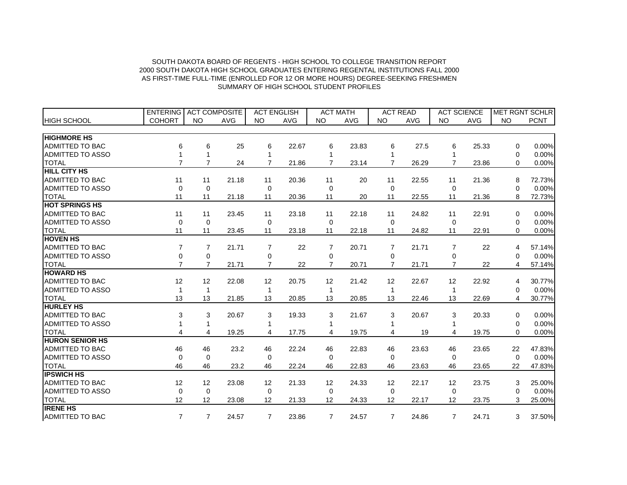|                         | <b>ENTERING</b> | <b>ACT COMPOSITE</b> |            | <b>ACT ENGLISH</b> |            |                | <b>ACT MATH</b> |                   | <b>ACT READ</b> |                   | <b>ACT SCIENCE</b> |           | <b>MET RGNT SCHLR</b> |
|-------------------------|-----------------|----------------------|------------|--------------------|------------|----------------|-----------------|-------------------|-----------------|-------------------|--------------------|-----------|-----------------------|
| <b>HIGH SCHOOL</b>      | <b>COHORT</b>   | <b>NO</b>            | <b>AVG</b> | <b>NO</b>          | <b>AVG</b> | <b>NO</b>      | <b>AVG</b>      | <b>NO</b>         | <b>AVG</b>      | <b>NO</b>         | <b>AVG</b>         | <b>NO</b> | <b>PCNT</b>           |
|                         |                 |                      |            |                    |            |                |                 |                   |                 |                   |                    |           |                       |
| <b>HIGHMORE HS</b>      |                 |                      |            |                    |            |                |                 |                   |                 |                   |                    |           |                       |
| <b>ADMITTED TO BAC</b>  | 6               | 6                    | 25         | 6                  | 22.67      | 6              | 23.83           | 6                 | 27.5            | 6                 | 25.33              | $\Omega$  | 0.00%                 |
| <b>ADMITTED TO ASSO</b> |                 | 1                    |            | 1                  |            |                |                 |                   |                 |                   |                    | 0         | 0.00%                 |
| <b>TOTAL</b>            | $\overline{7}$  | $\overline{7}$       | 24         | $\overline{7}$     | 21.86      | $\overline{7}$ | 23.14           | $\overline{7}$    | 26.29           | 7                 | 23.86              | 0         | 0.00%                 |
| <b>HILL CITY HS</b>     |                 |                      |            |                    |            |                |                 |                   |                 |                   |                    |           |                       |
| <b>ADMITTED TO BAC</b>  | 11              | 11                   | 21.18      | 11                 | 20.36      | 11             | 20              | 11                | 22.55           | 11                | 21.36              | 8         | 72.73%                |
| <b>ADMITTED TO ASSO</b> | $\mathbf 0$     | $\mathbf 0$          |            | 0                  |            | 0              |                 | 0                 |                 | $\Omega$          |                    | 0         | 0.00%                 |
| <b>TOTAL</b>            | 11              | 11                   | 21.18      | 11                 | 20.36      | 11             | 20              | 11                | 22.55           | 11                | 21.36              | 8         | 72.73%                |
| <b>HOT SPRINGS HS</b>   |                 |                      |            |                    |            |                |                 |                   |                 |                   |                    |           |                       |
| ADMITTED TO BAC         | 11              | 11                   | 23.45      | 11                 | 23.18      | 11             | 22.18           | 11                | 24.82           | 11                | 22.91              | $\Omega$  | 0.00%                 |
| <b>ADMITTED TO ASSO</b> | $\mathbf 0$     | $\mathbf 0$          |            | 0                  |            | $\mathbf 0$    |                 | 0                 |                 | $\Omega$          |                    | 0         | 0.00%                 |
| <b>TOTAL</b>            | 11              | 11                   | 23.45      | 11                 | 23.18      | 11             | 22.18           | 11                | 24.82           | 11                | 22.91              | $\Omega$  | 0.00%                 |
| <b>HOVEN HS</b>         |                 |                      |            |                    |            |                |                 |                   |                 |                   |                    |           |                       |
| <b>ADMITTED TO BAC</b>  | 7               | 7                    | 21.71      | $\overline{7}$     | 22         | 7              | 20.71           | 7                 | 21.71           | $\overline{7}$    | 22                 | 4         | 57.14%                |
| <b>ADMITTED TO ASSO</b> | 0               | 0                    |            | 0                  |            | 0              |                 | 0                 |                 | 0                 |                    | 0         | 0.00%                 |
| <b>TOTAL</b>            | $\overline{7}$  | $\overline{7}$       | 21.71      | $\overline{7}$     | 22         | $\overline{7}$ | 20.71           | $\overline{7}$    | 21.71           | $\overline{7}$    | 22                 | 4         | 57.14%                |
| <b>HOWARD HS</b>        |                 |                      |            |                    |            |                |                 |                   |                 |                   |                    |           |                       |
| <b>ADMITTED TO BAC</b>  | 12              | 12                   | 22.08      | 12                 | 20.75      | 12             | 21.42           | 12                | 22.67           | 12                | 22.92              | 4         | 30.77%                |
| <b>ADMITTED TO ASSO</b> | 1               | 1                    |            | 1                  |            |                |                 |                   |                 |                   |                    | $\Omega$  | 0.00%                 |
| <b>TOTAL</b>            | 13              | 13                   | 21.85      | 13                 | 20.85      | 13             | 20.85           | 13                | 22.46           | 13                | 22.69              | 4         | 30.77%                |
| <b>HURLEY HS</b>        |                 |                      |            |                    |            |                |                 |                   |                 |                   |                    |           |                       |
| <b>ADMITTED TO BAC</b>  | 3               | 3                    | 20.67      | 3                  | 19.33      | 3              | 21.67           | 3                 | 20.67           | 3                 | 20.33              | $\Omega$  | 0.00%                 |
| <b>ADMITTED TO ASSO</b> |                 | 1                    |            | 1                  |            |                |                 |                   |                 |                   |                    | 0         | 0.00%                 |
| <b>TOTAL</b>            | 4               | 4                    | 19.25      | 4                  | 17.75      | 4              | 19.75           | 4                 | 19              | 4                 | 19.75              | $\Omega$  | 0.00%                 |
| <b>HURON SENIOR HS</b>  |                 |                      |            |                    |            |                |                 |                   |                 |                   |                    |           |                       |
| <b>ADMITTED TO BAC</b>  | 46              | 46                   | 23.2       | 46                 | 22.24      | 46             | 22.83           | 46                | 23.63           | 46                | 23.65              | 22        | 47.83%                |
| <b>ADMITTED TO ASSO</b> | 0               | $\Omega$             |            | 0                  |            | 0              |                 | 0                 |                 | $\Omega$          |                    | $\Omega$  | 0.00%                 |
| <b>TOTAL</b>            | 46              | 46                   | 23.2       | 46                 | 22.24      | 46             | 22.83           | 46                | 23.63           | 46                | 23.65              | 22        | 47.83%                |
| <b>IPSWICH HS</b>       |                 |                      |            |                    |            |                |                 |                   |                 |                   |                    |           |                       |
| <b>ADMITTED TO BAC</b>  | 12              | 12                   | 23.08      | 12                 | 21.33      | 12             | 24.33           | $12 \overline{ }$ | 22.17           | $12 \overline{ }$ | 23.75              | 3         | 25.00%                |
| <b>ADMITTED TO ASSO</b> | $\mathbf 0$     | $\Omega$             |            | $\Omega$           |            | 0              |                 | 0                 |                 | $\Omega$          |                    | $\Omega$  | 0.00%                 |
| <b>TOTAL</b>            | 12              | 12                   | 23.08      | 12                 | 21.33      | 12             | 24.33           | 12                | 22.17           | 12                | 23.75              | 3         | 25.00%                |
| <b>IRENE HS</b>         |                 |                      |            |                    |            |                |                 |                   |                 |                   |                    |           |                       |
| <b>ADMITTED TO BAC</b>  | $\overline{7}$  | $\overline{7}$       | 24.57      | $\overline{7}$     | 23.86      | $\overline{7}$ | 24.57           | $\overline{7}$    | 24.86           | $\overline{7}$    | 24.71              | 3         | 37.50%                |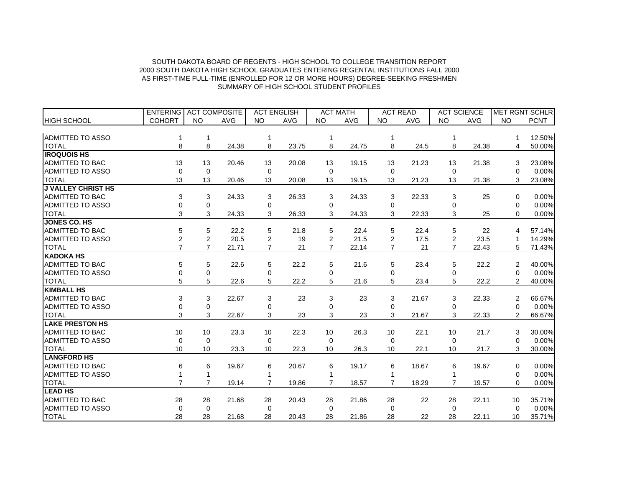|                           | <b>ENTERING</b> | <b>ACT COMPOSITE</b> |            | <b>ACT ENGLISH</b> |            |                | <b>ACT MATH</b> |                | <b>ACT READ</b> | <b>ACT SCIENCE</b> |            | MET RGNT SCHLR |             |
|---------------------------|-----------------|----------------------|------------|--------------------|------------|----------------|-----------------|----------------|-----------------|--------------------|------------|----------------|-------------|
| <b>HIGH SCHOOL</b>        | <b>COHORT</b>   | <b>NO</b>            | <b>AVG</b> | <b>NO</b>          | <b>AVG</b> | <b>NO</b>      | <b>AVG</b>      | <b>NO</b>      | <b>AVG</b>      | <b>NO</b>          | <b>AVG</b> | <b>NO</b>      | <b>PCNT</b> |
|                           |                 |                      |            |                    |            |                |                 |                |                 |                    |            |                |             |
| <b>ADMITTED TO ASSO</b>   |                 | 1                    |            |                    |            |                |                 |                |                 |                    |            |                | 12.50%      |
| <b>TOTAL</b>              | 8               | 8                    | 24.38      | 8                  | 23.75      | 8              | 24.75           | 8              | 24.5            | 8                  | 24.38      | 4              | 50.00%      |
| <b>IROQUOIS HS</b>        |                 |                      |            |                    |            |                |                 |                |                 |                    |            |                |             |
| <b>ADMITTED TO BAC</b>    | 13              | 13                   | 20.46      | 13                 | 20.08      | 13             | 19.15           | 13             | 21.23           | 13                 | 21.38      | 3              | 23.08%      |
| <b>ADMITTED TO ASSO</b>   | 0               | $\mathbf 0$          |            | 0                  |            | 0              |                 | 0              |                 | $\Omega$           |            | 0              | 0.00%       |
| <b>TOTAL</b>              | 13              | 13                   | 20.46      | 13                 | 20.08      | 13             | 19.15           | 13             | 21.23           | 13                 | 21.38      | 3              | 23.08%      |
| <b>J VALLEY CHRIST HS</b> |                 |                      |            |                    |            |                |                 |                |                 |                    |            |                |             |
| <b>ADMITTED TO BAC</b>    | 3               | 3                    | 24.33      | 3                  | 26.33      | 3              | 24.33           | 3              | 22.33           | 3                  | 25         | 0              | 0.00%       |
| <b>ADMITTED TO ASSO</b>   | 0               | $\mathbf 0$          |            | 0                  |            | 0              |                 | 0              |                 | 0                  |            | 0              | 0.00%       |
| <b>TOTAL</b>              | 3               | 3                    | 24.33      | 3                  | 26.33      | 3              | 24.33           | 3              | 22.33           | 3                  | 25         | $\Omega$       | 0.00%       |
| <b>JONES CO. HS</b>       |                 |                      |            |                    |            |                |                 |                |                 |                    |            |                |             |
| <b>ADMITTED TO BAC</b>    | 5               | 5                    | 22.2       | 5                  | 21.8       | 5              | 22.4            | 5              | 22.4            | 5                  | 22         | 4              | 57.14%      |
| <b>ADMITTED TO ASSO</b>   | $\overline{2}$  | $\overline{2}$       | 20.5       | 2                  | 19         | $\overline{2}$ | 21.5            | 2              | 17.5            | 2                  | 23.5       | 1              | 14.29%      |
| <b>TOTAL</b>              | $\overline{7}$  | $\overline{7}$       | 21.71      | $\overline{7}$     | 21         | $\overline{7}$ | 22.14           | $\overline{7}$ | 21              | $\overline{7}$     | 22.43      | 5              | 71.43%      |
| <b>KADOKA HS</b>          |                 |                      |            |                    |            |                |                 |                |                 |                    |            |                |             |
| <b>ADMITTED TO BAC</b>    | 5               | 5                    | 22.6       | 5                  | 22.2       | 5              | 21.6            | 5              | 23.4            | 5                  | 22.2       | 2              | 40.00%      |
| <b>ADMITTED TO ASSO</b>   | 0               | 0                    |            | 0                  |            | 0              |                 | 0              |                 | 0                  |            | $\Omega$       | 0.00%       |
| <b>TOTAL</b>              | 5               | 5                    | 22.6       | 5                  | 22.2       | 5              | 21.6            | 5              | 23.4            | 5                  | 22.2       | $\overline{2}$ | 40.00%      |
| <b>KIMBALL HS</b>         |                 |                      |            |                    |            |                |                 |                |                 |                    |            |                |             |
| <b>ADMITTED TO BAC</b>    | 3               | 3                    | 22.67      | 3                  | 23         | 3              | 23              | 3              | 21.67           | 3                  | 22.33      | 2              | 66.67%      |
| <b>ADMITTED TO ASSO</b>   | $\Omega$        | 0                    |            | 0                  |            | 0              |                 | $\Omega$       |                 | 0                  |            | $\Omega$       | 0.00%       |
| <b>TOTAL</b>              | 3               | 3                    | 22.67      | 3                  | 23         | 3              | 23              | 3              | 21.67           | 3                  | 22.33      | $\overline{2}$ | 66.67%      |
| <b>LAKE PRESTON HS</b>    |                 |                      |            |                    |            |                |                 |                |                 |                    |            |                |             |
| <b>ADMITTED TO BAC</b>    | 10              | 10                   | 23.3       | 10                 | 22.3       | 10             | 26.3            | 10             | 22.1            | 10                 | 21.7       | 3              | 30.00%      |
| <b>ADMITTED TO ASSO</b>   | $\Omega$        | $\Omega$             |            | $\Omega$           |            | $\Omega$       |                 | $\Omega$       |                 | $\Omega$           |            | 0              | 0.00%       |
| <b>TOTAL</b>              | 10              | 10                   | 23.3       | 10                 | 22.3       | 10             | 26.3            | 10             | 22.1            | 10                 | 21.7       | 3              | 30.00%      |
| <b>LANGFORD HS</b>        |                 |                      |            |                    |            |                |                 |                |                 |                    |            |                |             |
| <b>ADMITTED TO BAC</b>    | 6               | 6                    | 19.67      | 6                  | 20.67      | 6              | 19.17           | 6              | 18.67           | 6                  | 19.67      | $\Omega$       | 0.00%       |
| ADMITTED TO ASSO          |                 | 1                    |            |                    |            |                |                 |                |                 |                    |            | $\Omega$       | 0.00%       |
| <b>TOTAL</b>              | $\overline{7}$  | $\overline{7}$       | 19.14      | 7                  | 19.86      | 7              | 18.57           | 7              | 18.29           |                    | 19.57      | $\Omega$       | 0.00%       |
| <b>LEAD HS</b>            |                 |                      |            |                    |            |                |                 |                |                 |                    |            |                |             |
| <b>ADMITTED TO BAC</b>    | 28              | 28                   | 21.68      | 28                 | 20.43      | 28             | 21.86           | 28             | 22              | 28                 | 22.11      | 10             | 35.71%      |
| <b>ADMITTED TO ASSO</b>   | $\Omega$        | $\Omega$             |            | 0                  |            | $\Omega$       |                 | $\Omega$       |                 | $\Omega$           |            | $\Omega$       | 0.00%       |
| <b>TOTAL</b>              | 28              | 28                   | 21.68      | 28                 | 20.43      | 28             | 21.86           | 28             | 22              | 28                 | 22.11      | 10             | 35.71%      |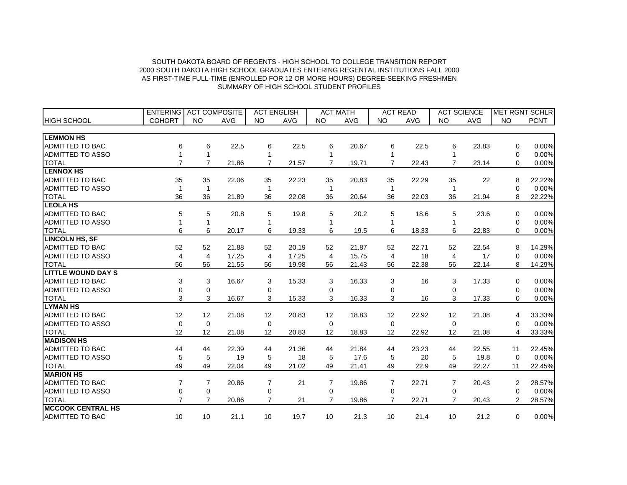|                           | <b>ENTERING</b> | <b>ACT COMPOSITE</b> |            | <b>ACT ENGLISH</b> |            |                | <b>ACT MATH</b> |                   | <b>ACT READ</b> |                | <b>ACT SCIENCE</b> |                | <b>MET RGNT SCHLR</b> |
|---------------------------|-----------------|----------------------|------------|--------------------|------------|----------------|-----------------|-------------------|-----------------|----------------|--------------------|----------------|-----------------------|
| <b>HIGH SCHOOL</b>        | <b>COHORT</b>   | <b>NO</b>            | <b>AVG</b> | <b>NO</b>          | <b>AVG</b> | <b>NO</b>      | <b>AVG</b>      | <b>NO</b>         | <b>AVG</b>      | <b>NO</b>      | <b>AVG</b>         | <b>NO</b>      | <b>PCNT</b>           |
|                           |                 |                      |            |                    |            |                |                 |                   |                 |                |                    |                |                       |
| <b>LEMMON HS</b>          |                 |                      |            |                    |            |                |                 |                   |                 |                |                    |                |                       |
| <b>ADMITTED TO BAC</b>    | 6               | 6                    | 22.5       | 6                  | 22.5       | 6              | 20.67           | 6                 | 22.5            | 6              | 23.83              | 0              | 0.00%                 |
| <b>ADMITTED TO ASSO</b>   | 1               | 1                    |            | 1                  |            |                |                 |                   |                 |                |                    | 0              | 0.00%                 |
| <b>TOTAL</b>              | $\overline{7}$  | $\overline{7}$       | 21.86      | $\overline{7}$     | 21.57      | $\overline{7}$ | 19.71           | $\overline{7}$    | 22.43           |                | 23.14              | $\Omega$       | 0.00%                 |
| <b>LENNOX HS</b>          |                 |                      |            |                    |            |                |                 |                   |                 |                |                    |                |                       |
| ADMITTED TO BAC           | 35              | 35                   | 22.06      | 35                 | 22.23      | 35             | 20.83           | 35                | 22.29           | 35             | 22                 | 8              | 22.22%                |
| <b>ADMITTED TO ASSO</b>   | 1               | 1                    |            | 1                  |            |                |                 |                   |                 |                |                    | $\Omega$       | 0.00%                 |
| <b>TOTAL</b>              | 36              | 36                   | 21.89      | 36                 | 22.08      | 36             | 20.64           | 36                | 22.03           | 36             | 21.94              | 8              | 22.22%                |
| <b>LEOLA HS</b>           |                 |                      |            |                    |            |                |                 |                   |                 |                |                    |                |                       |
| ADMITTED TO BAC           | 5               | 5                    | 20.8       | 5                  | 19.8       | 5              | 20.2            | 5                 | 18.6            | 5              | 23.6               | 0              | 0.00%                 |
| ADMITTED TO ASSO          | 1               | 1                    |            | 1                  |            |                |                 |                   |                 |                |                    | 0              | 0.00%                 |
| <b>TOTAL</b>              | 6               | 6                    | 20.17      | 6                  | 19.33      | 6              | 19.5            | 6                 | 18.33           | 6              | 22.83              | $\Omega$       | 0.00%                 |
| <b>LINCOLN HS, SF</b>     |                 |                      |            |                    |            |                |                 |                   |                 |                |                    |                |                       |
| ADMITTED TO BAC           | 52              | 52                   | 21.88      | 52                 | 20.19      | 52             | 21.87           | 52                | 22.71           | 52             | 22.54              | 8              | 14.29%                |
| ADMITTED TO ASSO          | 4               | 4                    | 17.25      | 4                  | 17.25      | 4              | 15.75           | $\overline{4}$    | 18              | 4              | 17                 | $\Omega$       | 0.00%                 |
| <b>TOTAL</b>              | 56              | 56                   | 21.55      | 56                 | 19.98      | 56             | 21.43           | 56                | 22.38           | 56             | 22.14              | 8              | 14.29%                |
| <b>LITTLE WOUND DAY S</b> |                 |                      |            |                    |            |                |                 |                   |                 |                |                    |                |                       |
| <b>ADMITTED TO BAC</b>    | 3               | 3                    | 16.67      | 3                  | 15.33      | 3              | 16.33           | 3                 | 16              | 3              | 17.33              | $\Omega$       | 0.00%                 |
| ADMITTED TO ASSO          | 0               | $\mathbf 0$          |            | 0                  |            | 0              |                 | $\Omega$          |                 | $\Omega$       |                    | 0              | 0.00%                 |
| <b>TOTAL</b>              | 3               | 3                    | 16.67      | 3                  | 15.33      | 3              | 16.33           | 3                 | 16              | 3              | 17.33              | $\Omega$       | 0.00%                 |
| <b>LYMAN HS</b>           |                 |                      |            |                    |            |                |                 |                   |                 |                |                    |                |                       |
| ADMITTED TO BAC           | 12              | 12                   | 21.08      | 12                 | 20.83      | 12             | 18.83           | $12 \overline{ }$ | 22.92           | 12             | 21.08              | 4              | 33.33%                |
| ADMITTED TO ASSO          | 0               | $\mathbf 0$          |            | 0                  |            | $\Omega$       |                 | 0                 |                 | $\Omega$       |                    | 0              | 0.00%                 |
| <b>TOTAL</b>              | 12              | 12                   | 21.08      | 12                 | 20.83      | 12             | 18.83           | 12                | 22.92           | 12             | 21.08              | 4              | 33.33%                |
| <b>MADISON HS</b>         |                 |                      |            |                    |            |                |                 |                   |                 |                |                    |                |                       |
| ADMITTED TO BAC           | 44              | 44                   | 22.39      | 44                 | 21.36      | 44             | 21.84           | 44                | 23.23           | 44             | 22.55              | 11             | 22.45%                |
| ADMITTED TO ASSO          | 5               | 5                    | 19         | 5                  | 18         | 5              | 17.6            | 5                 | 20              | 5              | 19.8               | $\Omega$       | 0.00%                 |
| <b>TOTAL</b>              | 49              | 49                   | 22.04      | 49                 | 21.02      | 49             | 21.41           | 49                | 22.9            | 49             | 22.27              | 11             | 22.45%                |
| <b>MARION HS</b>          |                 |                      |            |                    |            |                |                 |                   |                 |                |                    |                |                       |
| <b>ADMITTED TO BAC</b>    | 7               | $\overline{7}$       | 20.86      | $\overline{7}$     | 21         | $\overline{7}$ | 19.86           | $\overline{7}$    | 22.71           | $\overline{7}$ | 20.43              | 2              | 28.57%                |
| ADMITTED TO ASSO          | 0               | 0                    |            | 0                  |            | $\Omega$       |                 | $\Omega$          |                 | $\Omega$       |                    | $\Omega$       | 0.00%                 |
| <b>TOTAL</b>              | $\overline{7}$  | $\overline{7}$       | 20.86      | 7                  | 21         | $\overline{7}$ | 19.86           | $\overline{7}$    | 22.71           | 7              | 20.43              | $\overline{2}$ | 28.57%                |
| <b>MCCOOK CENTRAL HS</b>  |                 |                      |            |                    |            |                |                 |                   |                 |                |                    |                |                       |
| ADMITTED TO BAC           | 10              | 10                   | 21.1       | 10                 | 19.7       | 10             | 21.3            | 10                | 21.4            | 10             | 21.2               | 0              | 0.00%                 |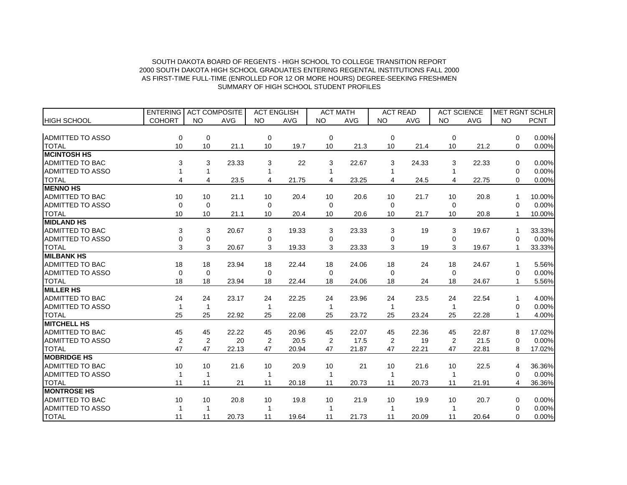|                         | <b>ENTERING</b> | <b>ACT COMPOSITE</b> |            | <b>ACT ENGLISH</b> |            | <b>ACT MATH</b> |            | <b>ACT READ</b> |            | <b>ACT SCIENCE</b> |            |           | MET RGNT SCHLR |
|-------------------------|-----------------|----------------------|------------|--------------------|------------|-----------------|------------|-----------------|------------|--------------------|------------|-----------|----------------|
| <b>HIGH SCHOOL</b>      | <b>COHORT</b>   | <b>NO</b>            | <b>AVG</b> | <b>NO</b>          | <b>AVG</b> | <b>NO</b>       | <b>AVG</b> | <b>NO</b>       | <b>AVG</b> | <b>NO</b>          | <b>AVG</b> | <b>NO</b> | <b>PCNT</b>    |
|                         |                 |                      |            |                    |            |                 |            |                 |            |                    |            |           |                |
| <b>ADMITTED TO ASSO</b> | 0               | $\mathbf 0$          |            | 0                  |            | $\mathbf 0$     |            | 0               |            | $\Omega$           |            | $\Omega$  | 0.00%          |
| <b>TOTAL</b>            | 10              | 10                   | 21.1       | 10                 | 19.7       | 10              | 21.3       | 10              | 21.4       | 10                 | 21.2       | $\Omega$  | 0.00%          |
| <b>MCINTOSH HS</b>      |                 |                      |            |                    |            |                 |            |                 |            |                    |            |           |                |
| <b>ADMITTED TO BAC</b>  | 3               | 3                    | 23.33      | 3                  | 22         | 3               | 22.67      | 3               | 24.33      | 3                  | 22.33      | 0         | 0.00%          |
| <b>ADMITTED TO ASSO</b> |                 | 1                    |            |                    |            |                 |            |                 |            |                    |            | 0         | 0.00%          |
| <b>TOTAL</b>            | 4               | $\overline{4}$       | 23.5       | 4                  | 21.75      | $\overline{4}$  | 23.25      | 4               | 24.5       |                    | 22.75      | 0         | 0.00%          |
| <b>MENNO HS</b>         |                 |                      |            |                    |            |                 |            |                 |            |                    |            |           |                |
| <b>ADMITTED TO BAC</b>  | 10              | 10                   | 21.1       | 10                 | 20.4       | 10              | 20.6       | 10              | 21.7       | 10                 | 20.8       | 1         | 10.00%         |
| <b>ADMITTED TO ASSO</b> | 0               | 0                    |            | 0                  |            | 0               |            | 0               |            | $\Omega$           |            | 0         | 0.00%          |
| <b>TOTAL</b>            | 10              | 10                   | 21.1       | 10                 | 20.4       | 10              | 20.6       | 10              | 21.7       | 10                 | 20.8       | 1         | 10.00%         |
| <b>MIDLAND HS</b>       |                 |                      |            |                    |            |                 |            |                 |            |                    |            |           |                |
| <b>ADMITTED TO BAC</b>  | 3               | 3                    | 20.67      | 3                  | 19.33      | 3               | 23.33      | 3               | 19         | 3                  | 19.67      |           | 33.33%         |
| <b>ADMITTED TO ASSO</b> | 0               | $\mathbf 0$          |            | 0                  |            | 0               |            | 0               |            | 0                  |            | $\Omega$  | 0.00%          |
| <b>TOTAL</b>            | 3               | 3                    | 20.67      | 3                  | 19.33      | 3               | 23.33      | 3               | 19         | 3                  | 19.67      |           | 33.33%         |
| <b>MILBANK HS</b>       |                 |                      |            |                    |            |                 |            |                 |            |                    |            |           |                |
| <b>ADMITTED TO BAC</b>  | 18              | 18                   | 23.94      | 18                 | 22.44      | 18              | 24.06      | 18              | 24         | 18                 | 24.67      | 1         | 5.56%          |
| <b>ADMITTED TO ASSO</b> | $\Omega$        | $\mathbf 0$          |            | $\Omega$           |            | $\Omega$        |            | $\Omega$        |            | $\Omega$           |            | $\Omega$  | 0.00%          |
| <b>TOTAL</b>            | 18              | 18                   | 23.94      | 18                 | 22.44      | 18              | 24.06      | 18              | 24         | 18                 | 24.67      | 1         | 5.56%          |
| <b>MILLER HS</b>        |                 |                      |            |                    |            |                 |            |                 |            |                    |            |           |                |
| <b>ADMITTED TO BAC</b>  | 24              | 24                   | 23.17      | 24                 | 22.25      | 24              | 23.96      | 24              | 23.5       | 24                 | 22.54      | 1         | 4.00%          |
| <b>ADMITTED TO ASSO</b> | 1               | 1                    |            |                    |            |                 |            | 1               |            |                    |            | 0         | 0.00%          |
| <b>TOTAL</b>            | 25              | 25                   | 22.92      | 25                 | 22.08      | 25              | 23.72      | 25              | 23.24      | 25                 | 22.28      | 1         | 4.00%          |
| <b>MITCHELL HS</b>      |                 |                      |            |                    |            |                 |            |                 |            |                    |            |           |                |
| <b>ADMITTED TO BAC</b>  | 45              | 45                   | 22.22      | 45                 | 20.96      | 45              | 22.07      | 45              | 22.36      | 45                 | 22.87      | 8         | 17.02%         |
| <b>ADMITTED TO ASSO</b> | $\overline{2}$  | $\overline{2}$       | 20         | 2                  | 20.5       | 2               | 17.5       | 2               | 19         | 2                  | 21.5       | 0         | 0.00%          |
| <b>TOTAL</b>            | 47              | 47                   | 22.13      | 47                 | 20.94      | 47              | 21.87      | 47              | 22.21      | 47                 | 22.81      | 8         | 17.02%         |
| <b>MOBRIDGE HS</b>      |                 |                      |            |                    |            |                 |            |                 |            |                    |            |           |                |
| <b>ADMITTED TO BAC</b>  | 10              | 10                   | 21.6       | 10                 | 20.9       | 10              | 21         | 10              | 21.6       | 10                 | 22.5       | 4         | 36.36%         |
| <b>ADMITTED TO ASSO</b> |                 | 1                    |            |                    |            |                 |            |                 |            |                    |            | $\Omega$  | 0.00%          |
| <b>TOTAL</b>            | 11              | 11                   | 21         | 11                 | 20.18      | 11              | 20.73      | 11              | 20.73      | 11                 | 21.91      | 4         | 36.36%         |
| <b>MONTROSE HS</b>      |                 |                      |            |                    |            |                 |            |                 |            |                    |            |           |                |
| <b>ADMITTED TO BAC</b>  | 10              | 10                   | 20.8       | 10                 | 19.8       | 10              | 21.9       | 10              | 19.9       | 10                 | 20.7       | 0         | 0.00%          |
| <b>ADMITTED TO ASSO</b> |                 | 1                    |            |                    |            |                 |            |                 |            |                    |            | $\Omega$  | 0.00%          |
| <b>TOTAL</b>            | 11              | 11                   | 20.73      | 11                 | 19.64      | 11              | 21.73      | 11              | 20.09      | 11                 | 20.64      | $\Omega$  | 0.00%          |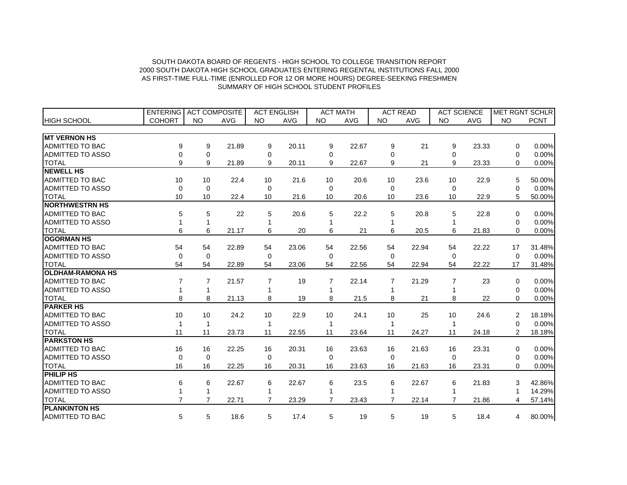|                         | <b>ENTERING</b> | <b>ACT COMPOSITE</b> |            | <b>ACT ENGLISH</b> |            |                | <b>ACT MATH</b> |                | <b>ACT READ</b> |                | <b>ACT SCIENCE</b> |                | <b>MET RGNT SCHLR</b> |
|-------------------------|-----------------|----------------------|------------|--------------------|------------|----------------|-----------------|----------------|-----------------|----------------|--------------------|----------------|-----------------------|
| <b>HIGH SCHOOL</b>      | <b>COHORT</b>   | <b>NO</b>            | <b>AVG</b> | <b>NO</b>          | <b>AVG</b> | <b>NO</b>      | <b>AVG</b>      | <b>NO</b>      | <b>AVG</b>      | <b>NO</b>      | <b>AVG</b>         | NO             | <b>PCNT</b>           |
|                         |                 |                      |            |                    |            |                |                 |                |                 |                |                    |                |                       |
| <b>MT VERNON HS</b>     |                 |                      |            |                    |            |                |                 |                |                 |                |                    |                |                       |
| <b>ADMITTED TO BAC</b>  | 9               | 9                    | 21.89      | 9                  | 20.11      | 9              | 22.67           | 9              | 21              | 9              | 23.33              | $\Omega$       | 0.00%                 |
| <b>ADMITTED TO ASSO</b> | 0               | 0                    |            | 0                  |            | 0              |                 | 0              |                 | 0              |                    | 0              | 0.00%                 |
| <b>TOTAL</b>            | 9               | 9                    | 21.89      | 9                  | 20.11      | 9              | 22.67           | 9              | 21              | 9              | 23.33              | 0              | 0.00%                 |
| <b>NEWELL HS</b>        |                 |                      |            |                    |            |                |                 |                |                 |                |                    |                |                       |
| <b>ADMITTED TO BAC</b>  | 10              | 10                   | 22.4       | 10                 | 21.6       | 10             | 20.6            | 10             | 23.6            | 10             | 22.9               | 5              | 50.00%                |
| <b>ADMITTED TO ASSO</b> | 0               | $\mathbf 0$          |            | 0                  |            | $\Omega$       |                 | $\Omega$       |                 | $\Omega$       |                    | 0              | 0.00%                 |
| <b>TOTAL</b>            | 10              | 10                   | 22.4       | 10                 | 21.6       | 10             | 20.6            | 10             | 23.6            | 10             | 22.9               | 5              | 50.00%                |
| <b>INORTHWESTRN HS</b>  |                 |                      |            |                    |            |                |                 |                |                 |                |                    |                |                       |
| ADMITTED TO BAC         | 5               | 5                    | 22         | 5                  | 20.6       | 5              | 22.2            | 5              | 20.8            | 5              | 22.8               | $\Omega$       | 0.00%                 |
| <b>ADMITTED TO ASSO</b> | $\mathbf{1}$    | $\mathbf{1}$         |            | 1                  |            |                |                 |                |                 |                |                    | 0              | 0.00%                 |
| <b>TOTAL</b>            | 6               | 6                    | 21.17      | 6                  | 20         | 6              | 21              | 6              | 20.5            | 6              | 21.83              | $\Omega$       | 0.00%                 |
| <b>OGORMAN HS</b>       |                 |                      |            |                    |            |                |                 |                |                 |                |                    |                |                       |
| <b>ADMITTED TO BAC</b>  | 54              | 54                   | 22.89      | 54                 | 23.06      | 54             | 22.56           | 54             | 22.94           | 54             | 22.22              | 17             | 31.48%                |
| <b>ADMITTED TO ASSO</b> | $\mathbf 0$     | $\Omega$             |            | $\Omega$           |            | $\Omega$       |                 | $\Omega$       |                 | $\Omega$       |                    | $\Omega$       | 0.00%                 |
| <b>TOTAL</b>            | 54              | 54                   | 22.89      | 54                 | 23.06      | 54             | 22.56           | 54             | 22.94           | 54             | 22.22              | 17             | 31.48%                |
| <b>OLDHAM-RAMONA HS</b> |                 |                      |            |                    |            |                |                 |                |                 |                |                    |                |                       |
| <b>ADMITTED TO BAC</b>  | 7               | 7                    | 21.57      | $\overline{7}$     | 19         | 7              | 22.14           | 7              | 21.29           | $\overline{7}$ | 23                 | $\Omega$       | 0.00%                 |
| <b>ADMITTED TO ASSO</b> |                 | 1                    |            |                    |            |                |                 |                |                 |                |                    | $\Omega$       | 0.00%                 |
| <b>TOTAL</b>            | 8               | 8                    | 21.13      | 8                  | 19         | 8              | 21.5            | 8              | 21              | 8              | 22                 | $\Omega$       | 0.00%                 |
| <b>PARKER HS</b>        |                 |                      |            |                    |            |                |                 |                |                 |                |                    |                |                       |
| <b>ADMITTED TO BAC</b>  | 10              | 10                   | 24.2       | 10                 | 22.9       | 10             | 24.1            | 10             | 25              | 10             | 24.6               | 2              | 18.18%                |
| <b>ADMITTED TO ASSO</b> |                 | 1                    |            | 1                  |            |                |                 |                |                 |                |                    | 0              | 0.00%                 |
| <b>TOTAL</b>            | 11              | 11                   | 23.73      | 11                 | 22.55      | 11             | 23.64           | 11             | 24.27           | 11             | 24.18              | $\overline{2}$ | 18.18%                |
| <b>PARKSTON HS</b>      |                 |                      |            |                    |            |                |                 |                |                 |                |                    |                |                       |
| <b>ADMITTED TO BAC</b>  | 16              | 16                   | 22.25      | 16                 | 20.31      | 16             | 23.63           | 16             | 21.63           | 16             | 23.31              | 0              | 0.00%                 |
| <b>ADMITTED TO ASSO</b> | $\mathbf 0$     | $\Omega$             |            | 0                  |            | $\Omega$       |                 | 0              |                 | $\Omega$       |                    | 0              | 0.00%                 |
| <b>TOTAL</b>            | 16              | 16                   | 22.25      | 16                 | 20.31      | 16             | 23.63           | 16             | 21.63           | 16             | 23.31              | $\Omega$       | 0.00%                 |
| <b>PHILIP HS</b>        |                 |                      |            |                    |            |                |                 |                |                 |                |                    |                |                       |
| ADMITTED TO BAC         | 6               | 6                    | 22.67      | 6                  | 22.67      | 6              | 23.5            | 6              | 22.67           | 6              | 21.83              | 3              | 42.86%                |
| <b>ADMITTED TO ASSO</b> |                 | 1                    |            | 1                  |            |                |                 |                |                 |                |                    |                | 14.29%                |
| <b>TOTAL</b>            | $\overline{7}$  | $\overline{7}$       | 22.71      | $\overline{7}$     | 23.29      | $\overline{7}$ | 23.43           | $\overline{7}$ | 22.14           | $\overline{7}$ | 21.86              | 4              | 57.14%                |
| <b>PLANKINTON HS</b>    |                 |                      |            |                    |            |                |                 |                |                 |                |                    |                |                       |
| <b>ADMITTED TO BAC</b>  | 5               | 5                    | 18.6       | 5                  | 17.4       | 5              | 19              | 5              | 19              | 5              | 18.4               | 4              | 80.00%                |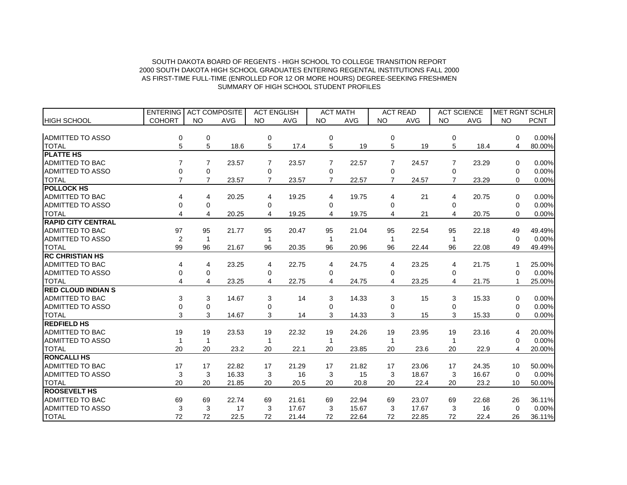|                           | <b>ENTERING</b> | <b>ACT COMPOSITE</b> |            | <b>ACT ENGLISH</b> |            | <b>ACT MATH</b> |            | <b>ACT READ</b> |            | <b>ACT SCIENCE</b> |            |                 | <b>MET RGNT SCHLRI</b> |
|---------------------------|-----------------|----------------------|------------|--------------------|------------|-----------------|------------|-----------------|------------|--------------------|------------|-----------------|------------------------|
| <b>HIGH SCHOOL</b>        | <b>COHORT</b>   | <b>NO</b>            | <b>AVG</b> | <b>NO</b>          | <b>AVG</b> | <b>NO</b>       | <b>AVG</b> | <b>NO</b>       | <b>AVG</b> | <b>NO</b>          | <b>AVG</b> | <b>NO</b>       | <b>PCNT</b>            |
|                           |                 |                      |            |                    |            |                 |            |                 |            |                    |            |                 |                        |
| ADMITTED TO ASSO          | 0               | 0                    |            | 0                  |            | $\mathbf 0$     |            | 0               |            | 0                  |            | $\Omega$        | 0.00%                  |
| <b>TOTAL</b>              | 5               | 5                    | 18.6       | 5                  | 17.4       | 5               | 19         | 5               | 19         | 5                  | 18.4       | 4               | 80.00%                 |
| <b>PLATTE HS</b>          |                 |                      |            |                    |            |                 |            |                 |            |                    |            |                 |                        |
| <b>ADMITTED TO BAC</b>    | $\overline{7}$  | $\overline{7}$       | 23.57      | 7                  | 23.57      | 7               | 22.57      | 7               | 24.57      | 7                  | 23.29      | 0               | 0.00%                  |
| <b>ADMITTED TO ASSO</b>   | 0               | 0                    |            | 0                  |            | 0               |            | 0               |            | 0                  |            | 0               | 0.00%                  |
| <b>TOTAL</b>              | $\overline{7}$  | $\overline{7}$       | 23.57      | $\overline{7}$     | 23.57      | $\overline{7}$  | 22.57      | $\overline{7}$  | 24.57      |                    | 23.29      | $\Omega$        | 0.00%                  |
| <b>POLLOCK HS</b>         |                 |                      |            |                    |            |                 |            |                 |            |                    |            |                 |                        |
| <b>ADMITTED TO BAC</b>    | 4               | 4                    | 20.25      | 4                  | 19.25      | 4               | 19.75      | 4               | 21         | 4                  | 20.75      | 0               | 0.00%                  |
| <b>ADMITTED TO ASSO</b>   | 0               | 0                    |            | 0                  |            | 0               |            | 0               |            | 0                  |            | 0               | 0.00%                  |
| <b>TOTAL</b>              | 4               | 4                    | 20.25      | 4                  | 19.25      | 4               | 19.75      | 4               | 21         |                    | 20.75      | 0               | 0.00%                  |
| <b>RAPID CITY CENTRAL</b> |                 |                      |            |                    |            |                 |            |                 |            |                    |            |                 |                        |
| <b>ADMITTED TO BAC</b>    | 97              | 95                   | 21.77      | 95                 | 20.47      | 95              | 21.04      | 95              | 22.54      | 95                 | 22.18      | 49              | 49.49%                 |
| <b>ADMITTED TO ASSO</b>   | $\overline{2}$  | $\mathbf 1$          |            | 1                  |            |                 |            | -1              |            |                    |            | $\Omega$        | 0.00%                  |
| <b>TOTAL</b>              | 99              | 96                   | 21.67      | 96                 | 20.35      | 96              | 20.96      | 96              | 22.44      | 96                 | 22.08      | 49              | 49.49%                 |
| <b>RC CHRISTIAN HS</b>    |                 |                      |            |                    |            |                 |            |                 |            |                    |            |                 |                        |
| ADMITTED TO BAC           | 4               | 4                    | 23.25      | 4                  | 22.75      | 4               | 24.75      | 4               | 23.25      | 4                  | 21.75      |                 | 25.00%                 |
| <b>ADMITTED TO ASSO</b>   | 0               | 0                    |            | 0                  |            | 0               |            | 0               |            | 0                  |            | $\Omega$        | 0.00%                  |
| <b>TOTAL</b>              | 4               | 4                    | 23.25      | 4                  | 22.75      | 4               | 24.75      | 4               | 23.25      | 4                  | 21.75      |                 | 25.00%                 |
| <b>RED CLOUD INDIAN S</b> |                 |                      |            |                    |            |                 |            |                 |            |                    |            |                 |                        |
| <b>ADMITTED TO BAC</b>    | 3               | 3                    | 14.67      | 3                  | 14         | 3               | 14.33      | 3               | 15         | 3                  | 15.33      | $\Omega$        | 0.00%                  |
| <b>ADMITTED TO ASSO</b>   | 0               | $\mathbf 0$          |            | 0                  |            | $\Omega$        |            | 0               |            | $\Omega$           |            | 0               | 0.00%                  |
| <b>TOTAL</b>              | 3               | 3                    | 14.67      | 3                  | 14         | 3               | 14.33      | 3               | 15         | 3                  | 15.33      | 0               | 0.00%                  |
| <b>REDFIELD HS</b>        |                 |                      |            |                    |            |                 |            |                 |            |                    |            |                 |                        |
| ADMITTED TO BAC           | 19              | 19                   | 23.53      | 19                 | 22.32      | 19              | 24.26      | 19              | 23.95      | 19                 | 23.16      | 4               | 20.00%                 |
| <b>ADMITTED TO ASSO</b>   | 1               | $\mathbf 1$          |            | 1                  |            |                 |            |                 |            |                    |            | 0               | 0.00%                  |
| <b>TOTAL</b>              | 20              | 20                   | 23.2       | 20                 | 22.1       | 20              | 23.85      | 20              | 23.6       | 20                 | 22.9       | 4               | 20.00%                 |
| <b>RONCALLI HS</b>        |                 |                      |            |                    |            |                 |            |                 |            |                    |            |                 |                        |
| <b>ADMITTED TO BAC</b>    | 17              | 17                   | 22.82      | 17                 | 21.29      | 17              | 21.82      | 17              | 23.06      | 17                 | 24.35      | 10              | 50.00%                 |
| <b>ADMITTED TO ASSO</b>   | 3               | 3                    | 16.33      | 3                  | 16         | 3               | 15         | 3               | 18.67      | 3                  | 16.67      | $\Omega$        | 0.00%                  |
| <b>TOTAL</b>              | 20              | 20                   | 21.85      | 20                 | 20.5       | 20              | 20.8       | 20              | 22.4       | 20                 | 23.2       | 10 <sup>°</sup> | 50.00%                 |
| <b>ROOSEVELT HS</b>       |                 |                      |            |                    |            |                 |            |                 |            |                    |            |                 |                        |
| ADMITTED TO BAC           | 69              | 69                   | 22.74      | 69                 | 21.61      | 69              | 22.94      | 69              | 23.07      | 69                 | 22.68      | 26              | 36.11%                 |
| ADMITTED TO ASSO          | 3               | 3                    | 17         | 3                  | 17.67      | 3               | 15.67      | 3               | 17.67      | 3                  | 16         | $\Omega$        | 0.00%                  |
| <b>TOTAL</b>              | 72              | 72                   | 22.5       | 72                 | 21.44      | 72              | 22.64      | 72              | 22.85      | 72                 | 22.4       | 26              | 36.11%                 |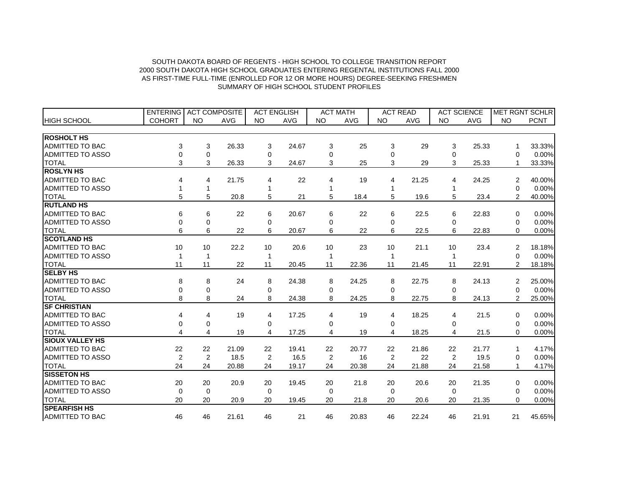|                         | <b>ENTERING</b> | <b>ACT COMPOSITE</b> |            | <b>ACT ENGLISH</b> |            |           | <b>ACT MATH</b> |           | <b>ACT READ</b> |           | <b>ACT SCIENCE</b> |                | MET RGNT SCHLR |
|-------------------------|-----------------|----------------------|------------|--------------------|------------|-----------|-----------------|-----------|-----------------|-----------|--------------------|----------------|----------------|
| <b>HIGH SCHOOL</b>      | <b>COHORT</b>   | <b>NO</b>            | <b>AVG</b> | <b>NO</b>          | <b>AVG</b> | <b>NO</b> | <b>AVG</b>      | <b>NO</b> | <b>AVG</b>      | <b>NO</b> | <b>AVG</b>         | <b>NO</b>      | <b>PCNT</b>    |
|                         |                 |                      |            |                    |            |           |                 |           |                 |           |                    |                |                |
| <b>ROSHOLT HS</b>       |                 |                      |            |                    |            |           |                 |           |                 |           |                    |                |                |
| <b>ADMITTED TO BAC</b>  | 3               | 3                    | 26.33      | 3                  | 24.67      | 3         | 25              | 3         | 29              | 3         | 25.33              | 1              | 33.33%         |
| <b>ADMITTED TO ASSO</b> | 0               | $\mathbf 0$          |            | 0                  |            | $\Omega$  |                 | 0         |                 | 0         |                    | 0              | 0.00%          |
| <b>TOTAL</b>            | 3               | 3                    | 26.33      | 3                  | 24.67      | 3         | 25              | 3         | 29              | 3         | 25.33              |                | 33.33%         |
| <b>ROSLYN HS</b>        |                 |                      |            |                    |            |           |                 |           |                 |           |                    |                |                |
| <b>ADMITTED TO BAC</b>  | 4               | 4                    | 21.75      | 4                  | 22         | 4         | 19              | 4         | 21.25           | 4         | 24.25              | 2              | 40.00%         |
| <b>ADMITTED TO ASSO</b> |                 | 1                    |            |                    |            |           |                 |           |                 |           |                    | 0              | 0.00%          |
| <b>TOTAL</b>            | 5               | 5                    | 20.8       | 5                  | 21         | 5         | 18.4            | 5         | 19.6            | 5         | 23.4               | $\overline{2}$ | 40.00%         |
| <b>RUTLAND HS</b>       |                 |                      |            |                    |            |           |                 |           |                 |           |                    |                |                |
| <b>ADMITTED TO BAC</b>  | 6               | 6                    | 22         | 6                  | 20.67      | 6         | 22              | 6         | 22.5            | 6         | 22.83              | 0              | 0.00%          |
| <b>ADMITTED TO ASSO</b> | $\Omega$        | $\mathbf 0$          |            | 0                  |            | $\Omega$  |                 | $\Omega$  |                 | $\Omega$  |                    | 0              | 0.00%          |
| <b>TOTAL</b>            | 6               | 6                    | 22         | 6                  | 20.67      | 6         | 22              | 6         | 22.5            | 6         | 22.83              | $\Omega$       | 0.00%          |
| <b>SCOTLAND HS</b>      |                 |                      |            |                    |            |           |                 |           |                 |           |                    |                |                |
| <b>ADMITTED TO BAC</b>  | 10              | 10                   | 22.2       | 10                 | 20.6       | 10        | 23              | 10        | 21.1            | 10        | 23.4               | 2              | 18.18%         |
| <b>ADMITTED TO ASSO</b> | 1               | 1                    |            | 1                  |            |           |                 |           |                 |           |                    | $\Omega$       | 0.00%          |
| <b>TOTAL</b>            | 11              | 11                   | 22         | 11                 | 20.45      | 11        | 22.36           | 11        | 21.45           | 11        | 22.91              | $\overline{2}$ | 18.18%         |
| <b>SELBY HS</b>         |                 |                      |            |                    |            |           |                 |           |                 |           |                    |                |                |
| ADMITTED TO BAC         | 8               | 8                    | 24         | 8                  | 24.38      | 8         | 24.25           | 8         | 22.75           | 8         | 24.13              | 2              | 25.00%         |
| <b>ADMITTED TO ASSO</b> | 0               | $\mathbf 0$          |            | $\Omega$           |            | 0         |                 | 0         |                 | 0         |                    | 0              | 0.00%          |
| <b>TOTAL</b>            | 8               | 8                    | 24         | 8                  | 24.38      | 8         | 24.25           | 8         | 22.75           | 8         | 24.13              | $\overline{2}$ | 25.00%         |
| <b>SF CHRISTIAN</b>     |                 |                      |            |                    |            |           |                 |           |                 |           |                    |                |                |
| <b>ADMITTED TO BAC</b>  | 4               | 4                    | 19         | 4                  | 17.25      | 4         | 19              | 4         | 18.25           | 4         | 21.5               | $\Omega$       | 0.00%          |
| <b>ADMITTED TO ASSO</b> | 0               | 0                    |            | 0                  |            | 0         |                 | 0         |                 | 0         |                    | 0              | 0.00%          |
| <b>TOTAL</b>            | 4               | $\overline{4}$       | 19         | 4                  | 17.25      | 4         | 19              | 4         | 18.25           | 4         | 21.5               | $\Omega$       | 0.00%          |
| <b>SIOUX VALLEY HS</b>  |                 |                      |            |                    |            |           |                 |           |                 |           |                    |                |                |
| <b>ADMITTED TO BAC</b>  | 22              | 22                   | 21.09      | 22                 | 19.41      | 22        | 20.77           | 22        | 21.86           | 22        | 21.77              | 1              | 4.17%          |
| ADMITTED TO ASSO        | $\overline{2}$  | 2                    | 18.5       | 2                  | 16.5       | 2         | 16              | 2         | 22              | 2         | 19.5               | 0              | 0.00%          |
| <b>TOTAL</b>            | 24              | 24                   | 20.88      | 24                 | 19.17      | 24        | 20.38           | 24        | 21.88           | 24        | 21.58              | $\mathbf{1}$   | 4.17%          |
| <b>SISSETON HS</b>      |                 |                      |            |                    |            |           |                 |           |                 |           |                    |                |                |
| <b>ADMITTED TO BAC</b>  | 20              | 20                   | 20.9       | 20                 | 19.45      | 20        | 21.8            | 20        | 20.6            | 20        | 21.35              | 0              | 0.00%          |
| <b>ADMITTED TO ASSO</b> | $\mathbf 0$     | $\mathbf 0$          |            | $\Omega$           |            | $\Omega$  |                 | $\Omega$  |                 | $\Omega$  |                    | $\Omega$       | 0.00%          |
| <b>TOTAL</b>            | 20              | 20                   | 20.9       | 20                 | 19.45      | 20        | 21.8            | 20        | 20.6            | 20        | 21.35              | $\Omega$       | 0.00%          |
| <b>SPEARFISH HS</b>     |                 |                      |            |                    |            |           |                 |           |                 |           |                    |                |                |
| <b>ADMITTED TO BAC</b>  | 46              | 46                   | 21.61      | 46                 | 21         | 46        | 20.83           | 46        | 22.24           | 46        | 21.91              | 21             | 45.65%         |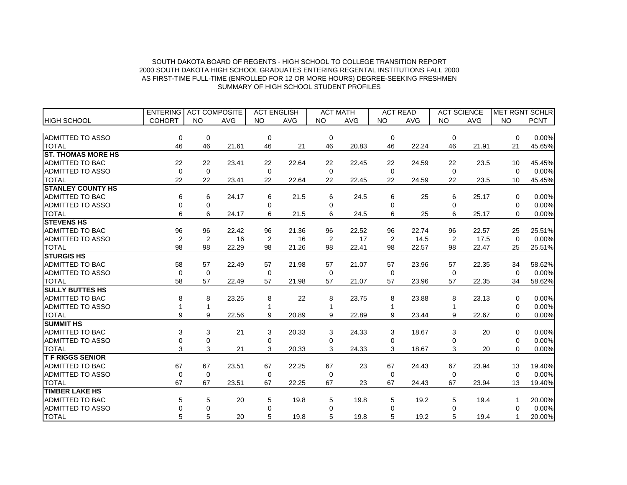|                           | ENTERING   ACT COMPOSITE |             |            | <b>ACT ENGLISH</b> |       | <b>ACT MATH</b> |            | <b>ACT READ</b> |            | <b>ACT SCIENCE</b> |            |           | MET RGNT SCHLR |
|---------------------------|--------------------------|-------------|------------|--------------------|-------|-----------------|------------|-----------------|------------|--------------------|------------|-----------|----------------|
| <b>HIGH SCHOOL</b>        | <b>COHORT</b>            | <b>NO</b>   | <b>AVG</b> | <b>NO</b>          | AVG   | <b>NO</b>       | <b>AVG</b> | <b>NO</b>       | <b>AVG</b> | <b>NO</b>          | <b>AVG</b> | <b>NO</b> | <b>PCNT</b>    |
|                           |                          |             |            |                    |       |                 |            |                 |            |                    |            |           |                |
| <b>ADMITTED TO ASSO</b>   | 0                        | 0           |            | 0                  |       | $\mathbf 0$     |            | $\mathbf 0$     |            | $\mathbf 0$        |            | $\Omega$  | 0.00%          |
| <b>TOTAL</b>              | 46                       | 46          | 21.61      | 46                 | 21    | 46              | 20.83      | 46              | 22.24      | 46                 | 21.91      | 21        | 45.65%         |
| <b>ST. THOMAS MORE HS</b> |                          |             |            |                    |       |                 |            |                 |            |                    |            |           |                |
| <b>ADMITTED TO BAC</b>    | 22                       | 22          | 23.41      | 22                 | 22.64 | 22              | 22.45      | 22              | 24.59      | 22                 | 23.5       | 10        | 45.45%         |
| <b>ADMITTED TO ASSO</b>   | $\mathbf 0$              | $\mathbf 0$ |            | 0                  |       | $\Omega$        |            | $\Omega$        |            | $\Omega$           |            | $\Omega$  | 0.00%          |
| <b>TOTAL</b>              | 22                       | 22          | 23.41      | 22                 | 22.64 | 22              | 22.45      | 22              | 24.59      | 22                 | 23.5       | 10        | 45.45%         |
| <b>STANLEY COUNTY HS</b>  |                          |             |            |                    |       |                 |            |                 |            |                    |            |           |                |
| <b>ADMITTED TO BAC</b>    | 6                        | 6           | 24.17      | 6                  | 21.5  | 6               | 24.5       | 6               | 25         | 6                  | 25.17      | $\Omega$  | 0.00%          |
| <b>ADMITTED TO ASSO</b>   | 0                        | 0           |            | 0                  |       | $\mathbf 0$     |            | $\Omega$        |            | 0                  |            | 0         | 0.00%          |
| <b>TOTAL</b>              | 6                        | 6           | 24.17      | 6                  | 21.5  | 6               | 24.5       | 6               | 25         | 6                  | 25.17      | 0         | 0.00%          |
| <b>STEVENS HS</b>         |                          |             |            |                    |       |                 |            |                 |            |                    |            |           |                |
| <b>ADMITTED TO BAC</b>    | 96                       | 96          | 22.42      | 96                 | 21.36 | 96              | 22.52      | 96              | 22.74      | 96                 | 22.57      | 25        | 25.51%         |
| <b>ADMITTED TO ASSO</b>   | $\overline{2}$           | 2           | 16         | 2                  | 16    | 2               | 17         | 2               | 14.5       | 2                  | 17.5       | $\Omega$  | 0.00%          |
| <b>TOTAL</b>              | 98                       | 98          | 22.29      | 98                 | 21.26 | 98              | 22.41      | 98              | 22.57      | 98                 | 22.47      | 25        | 25.51%         |
| <b>STURGIS HS</b>         |                          |             |            |                    |       |                 |            |                 |            |                    |            |           |                |
| <b>ADMITTED TO BAC</b>    | 58                       | 57          | 22.49      | 57                 | 21.98 | 57              | 21.07      | 57              | 23.96      | 57                 | 22.35      | 34        | 58.62%         |
| <b>ADMITTED TO ASSO</b>   | 0                        | $\Omega$    |            | 0                  |       | $\mathbf 0$     |            | $\mathbf 0$     |            | $\Omega$           |            | $\Omega$  | 0.00%          |
| <b>TOTAL</b>              | 58                       | 57          | 22.49      | 57                 | 21.98 | 57              | 21.07      | 57              | 23.96      | 57                 | 22.35      | 34        | 58.62%         |
| <b>SULLY BUTTES HS</b>    |                          |             |            |                    |       |                 |            |                 |            |                    |            |           |                |
| <b>ADMITTED TO BAC</b>    | 8                        | 8           | 23.25      | 8                  | 22    | 8               | 23.75      | 8               | 23.88      | 8                  | 23.13      | $\Omega$  | 0.00%          |
| <b>ADMITTED TO ASSO</b>   |                          | 1           |            |                    |       |                 |            |                 |            |                    |            | $\Omega$  | 0.00%          |
| <b>TOTAL</b>              | 9                        | 9           | 22.56      | 9                  | 20.89 | 9               | 22.89      | 9               | 23.44      | 9                  | 22.67      | 0         | 0.00%          |
| <b>SUMMIT HS</b>          |                          |             |            |                    |       |                 |            |                 |            |                    |            |           |                |
| <b>ADMITTED TO BAC</b>    | 3                        | 3           | 21         | 3                  | 20.33 | 3               | 24.33      | 3               | 18.67      | 3                  | 20         | $\Omega$  | 0.00%          |
| <b>ADMITTED TO ASSO</b>   | 0                        | 0           |            | $\Omega$           |       | $\Omega$        |            | $\Omega$        |            | <sup>0</sup>       |            | $\Omega$  | 0.00%          |
| <b>TOTAL</b>              | 3                        | 3           | 21         | 3                  | 20.33 | 3               | 24.33      | 3               | 18.67      | 3                  | 20         | $\Omega$  | 0.00%          |
| <b>TFRIGGS SENIOR</b>     |                          |             |            |                    |       |                 |            |                 |            |                    |            |           |                |
| <b>ADMITTED TO BAC</b>    | 67                       | 67          | 23.51      | 67                 | 22.25 | 67              | 23         | 67              | 24.43      | 67                 | 23.94      | 13        | 19.40%         |
| <b>ADMITTED TO ASSO</b>   | $\mathbf 0$              | $\Omega$    |            | $\Omega$           |       | $\Omega$        |            | $\Omega$        |            | $\Omega$           |            | $\Omega$  | 0.00%          |
| <b>TOTAL</b>              | 67                       | 67          | 23.51      | 67                 | 22.25 | 67              | 23         | 67              | 24.43      | 67                 | 23.94      | 13        | 19.40%         |
| <b>TIMBER LAKE HS</b>     |                          |             |            |                    |       |                 |            |                 |            |                    |            |           |                |
| <b>ADMITTED TO BAC</b>    | 5                        | 5           | 20         | 5                  | 19.8  | 5               | 19.8       | 5               | 19.2       | 5                  | 19.4       |           | 20.00%         |
| ADMITTED TO ASSO          | 0                        | 0           |            | 0                  |       | $\Omega$        |            | $\Omega$        |            | O                  |            | $\Omega$  | 0.00%          |
| <b>TOTAL</b>              | 5                        | 5           | 20         | 5                  | 19.8  | 5               | 19.8       | 5               | 19.2       | 5                  | 19.4       |           | 20.00%         |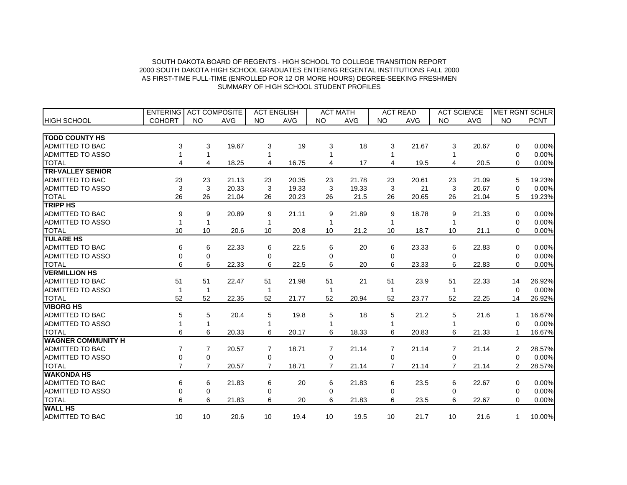|                           | <b>ENTERING</b> | <b>ACT COMPOSITE</b> |            | <b>ACT ENGLISH</b> |            |                | <b>ACT MATH</b> |                | <b>ACT READ</b> |                | <b>ACT SCIENCE</b> |                | <b>MET RGNT SCHLR</b> |
|---------------------------|-----------------|----------------------|------------|--------------------|------------|----------------|-----------------|----------------|-----------------|----------------|--------------------|----------------|-----------------------|
| <b>HIGH SCHOOL</b>        | <b>COHORT</b>   | <b>NO</b>            | <b>AVG</b> | <b>NO</b>          | <b>AVG</b> | <b>NO</b>      | <b>AVG</b>      | <b>NO</b>      | <b>AVG</b>      | <b>NO</b>      | <b>AVG</b>         | <b>NO</b>      | <b>PCNT</b>           |
|                           |                 |                      |            |                    |            |                |                 |                |                 |                |                    |                |                       |
| <b>TODD COUNTY HS</b>     |                 |                      |            |                    |            |                |                 |                |                 |                |                    |                |                       |
| ADMITTED TO BAC           | 3               | 3                    | 19.67      | 3                  | 19         | 3              | 18              | 3              | 21.67           | 3              | 20.67              | $\Omega$       | 0.00%                 |
| <b>ADMITTED TO ASSO</b>   |                 | 1                    |            |                    |            |                |                 |                |                 |                |                    | 0              | 0.00%                 |
| <b>TOTAL</b>              | 4               | 4                    | 18.25      | 4                  | 16.75      | 4              | 17              | $\overline{4}$ | 19.5            | 4              | 20.5               | 0              | 0.00%                 |
| <b>TRI-VALLEY SENIOR</b>  |                 |                      |            |                    |            |                |                 |                |                 |                |                    |                |                       |
| <b>ADMITTED TO BAC</b>    | 23              | 23                   | 21.13      | 23                 | 20.35      | 23             | 21.78           | 23             | 20.61           | 23             | 21.09              | 5              | 19.23%                |
| ADMITTED TO ASSO          | 3               | 3                    | 20.33      | 3                  | 19.33      | 3              | 19.33           | 3              | 21              | 3              | 20.67              | 0              | 0.00%                 |
| <b>TOTAL</b>              | 26              | 26                   | 21.04      | 26                 | 20.23      | 26             | 21.5            | 26             | 20.65           | 26             | 21.04              | 5              | 19.23%                |
| <b>TRIPP HS</b>           |                 |                      |            |                    |            |                |                 |                |                 |                |                    |                |                       |
| ADMITTED TO BAC           | 9               | 9                    | 20.89      | 9                  | 21.11      | 9              | 21.89           | 9              | 18.78           | 9              | 21.33              | 0              | 0.00%                 |
| ADMITTED TO ASSO          | 1               | $\mathbf{1}$         |            | 1                  |            |                |                 | 1              |                 |                |                    | 0              | 0.00%                 |
| <b>TOTAL</b>              | 10              | 10                   | 20.6       | 10                 | 20.8       | 10             | 21.2            | 10             | 18.7            | 10             | 21.1               | $\Omega$       | 0.00%                 |
| <b>TULARE HS</b>          |                 |                      |            |                    |            |                |                 |                |                 |                |                    |                |                       |
| ADMITTED TO BAC           | 6               | 6                    | 22.33      | 6                  | 22.5       | 6              | 20              | 6              | 23.33           | 6              | 22.83              | $\Omega$       | 0.00%                 |
| <b>ADMITTED TO ASSO</b>   | 0               | 0                    |            | $\Omega$           |            | $\Omega$       |                 | $\Omega$       |                 | $\Omega$       |                    | $\Omega$       | 0.00%                 |
| <b>TOTAL</b>              | 6               | 6                    | 22.33      | 6                  | 22.5       | 6              | 20              | 6              | 23.33           | 6              | 22.83              | $\Omega$       | 0.00%                 |
| <b>VERMILLION HS</b>      |                 |                      |            |                    |            |                |                 |                |                 |                |                    |                |                       |
| <b>ADMITTED TO BAC</b>    | 51              | 51                   | 22.47      | 51                 | 21.98      | 51             | 21              | 51             | 23.9            | 51             | 22.33              | 14             | 26.92%                |
| ADMITTED TO ASSO          | 1               | 1                    |            | 1                  |            |                |                 |                |                 |                |                    | $\Omega$       | 0.00%                 |
| <b>TOTAL</b>              | 52              | 52                   | 22.35      | 52                 | 21.77      | 52             | 20.94           | 52             | 23.77           | 52             | 22.25              | 14             | 26.92%                |
| <b>VIBORG HS</b>          |                 |                      |            |                    |            |                |                 |                |                 |                |                    |                |                       |
| <b>ADMITTED TO BAC</b>    | 5               | 5                    | 20.4       | 5                  | 19.8       | 5              | 18              | 5              | 21.2            | 5              | 21.6               | 1              | 16.67%                |
| ADMITTED TO ASSO          |                 |                      |            |                    |            |                |                 |                |                 |                |                    | 0              | 0.00%                 |
| <b>TOTAL</b>              | 6               | 6                    | 20.33      | 6                  | 20.17      | 6              | 18.33           | 6              | 20.83           | 6              | 21.33              | 1              | 16.67%                |
| <b>WAGNER COMMUNITY H</b> |                 |                      |            |                    |            |                |                 |                |                 |                |                    |                |                       |
| <b>ADMITTED TO BAC</b>    | 7               | $\overline{7}$       | 20.57      | 7                  | 18.71      | 7              | 21.14           | $\overline{7}$ | 21.14           | 7              | 21.14              | 2              | 28.57%                |
| ADMITTED TO ASSO          | 0               | $\mathbf 0$          |            | 0                  |            | 0              |                 | 0              |                 | 0              |                    | $\Omega$       | 0.00%                 |
| <b>TOTAL</b>              | $\overline{7}$  | $\overline{7}$       | 20.57      | $\overline{7}$     | 18.71      | $\overline{7}$ | 21.14           | $\overline{7}$ | 21.14           | $\overline{7}$ | 21.14              | $\overline{2}$ | 28.57%                |
| <b>WAKONDA HS</b>         |                 |                      |            |                    |            |                |                 |                |                 |                |                    |                |                       |
| <b>ADMITTED TO BAC</b>    | 6               | 6                    | 21.83      | 6                  | 20         | 6              | 21.83           | 6              | 23.5            | 6              | 22.67              | 0              | 0.00%                 |
| ADMITTED TO ASSO          | 0               | $\mathbf 0$          |            | 0                  |            | 0              |                 | $\Omega$       |                 | 0              |                    | $\Omega$       | 0.00%                 |
| <b>TOTAL</b>              | 6               | 6                    | 21.83      | 6                  | 20         | 6              | 21.83           | 6              | 23.5            | 6              | 22.67              | $\Omega$       | 0.00%                 |
| <b>WALL HS</b>            |                 |                      |            |                    |            |                |                 |                |                 |                |                    |                |                       |
| <b>ADMITTED TO BAC</b>    | 10              | 10                   | 20.6       | 10                 | 19.4       | 10             | 19.5            | 10             | 21.7            | 10             | 21.6               | 1              | 10.00%                |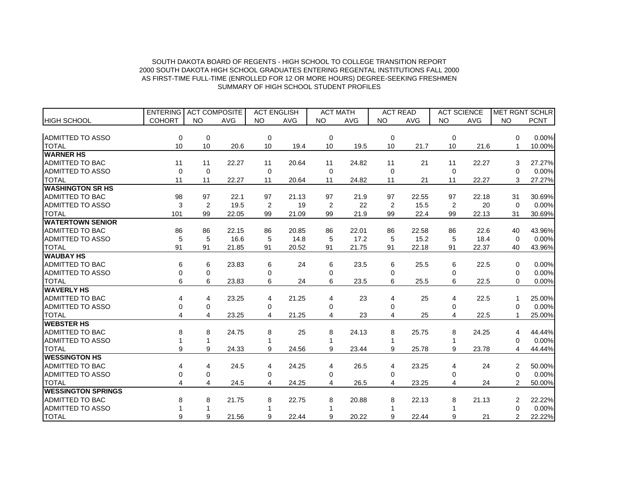|                           | <b>ENTERING</b> | <b>ACT COMPOSITE</b> |            | <b>ACT ENGLISH</b> |            | <b>ACT MATH</b> |            | <b>ACT READ</b> |       | <b>ACT SCIENCE</b> |            |           | <b>MET RGNT SCHLR</b> |
|---------------------------|-----------------|----------------------|------------|--------------------|------------|-----------------|------------|-----------------|-------|--------------------|------------|-----------|-----------------------|
| <b>HIGH SCHOOL</b>        | <b>COHORT</b>   | <b>NO</b>            | <b>AVG</b> | <b>NO</b>          | <b>AVG</b> | <b>NO</b>       | <b>AVG</b> | <b>NO</b>       | AVG   | <b>NO</b>          | <b>AVG</b> | <b>NO</b> | <b>PCNT</b>           |
|                           |                 |                      |            |                    |            |                 |            |                 |       |                    |            |           |                       |
| ADMITTED TO ASSO          | 0               | $\mathbf 0$          |            | $\Omega$           |            | $\mathbf 0$     |            | $\Omega$        |       | $\Omega$           |            | $\Omega$  | 0.00%                 |
| <b>TOTAL</b>              | 10              | 10                   | 20.6       | 10                 | 19.4       | 10              | 19.5       | 10              | 21.7  | 10                 | 21.6       |           | 10.00%                |
| <b>WARNER HS</b>          |                 |                      |            |                    |            |                 |            |                 |       |                    |            |           |                       |
| ADMITTED TO BAC           | 11              | 11                   | 22.27      | 11                 | 20.64      | 11              | 24.82      | 11              | 21    | 11                 | 22.27      | 3         | 27.27%                |
| <b>ADMITTED TO ASSO</b>   | 0               | $\mathbf 0$          |            | $\mathbf 0$        |            | 0               |            | 0               |       | 0                  |            | 0         | 0.00%                 |
| <b>TOTAL</b>              | 11              | 11                   | 22.27      | 11                 | 20.64      | 11              | 24.82      | 11              | 21    | 11                 | 22.27      | 3         | 27.27%                |
| <b>WASHINGTON SR HS</b>   |                 |                      |            |                    |            |                 |            |                 |       |                    |            |           |                       |
| <b>ADMITTED TO BAC</b>    | 98              | 97                   | 22.1       | 97                 | 21.13      | 97              | 21.9       | 97              | 22.55 | 97                 | 22.18      | 31        | 30.69%                |
| <b>ADMITTED TO ASSO</b>   | 3               | $\overline{2}$       | 19.5       | 2                  | 19         | 2               | 22         | 2               | 15.5  | 2                  | 20         | $\Omega$  | 0.00%                 |
| <b>TOTAL</b>              | 101             | 99                   | 22.05      | 99                 | 21.09      | 99              | 21.9       | 99              | 22.4  | 99                 | 22.13      | 31        | 30.69%                |
| <b>WATERTOWN SENIOR</b>   |                 |                      |            |                    |            |                 |            |                 |       |                    |            |           |                       |
| <b>ADMITTED TO BAC</b>    | 86              | 86                   | 22.15      | 86                 | 20.85      | 86              | 22.01      | 86              | 22.58 | 86                 | 22.6       | 40        | 43.96%                |
| <b>ADMITTED TO ASSO</b>   | 5               | 5                    | 16.6       | 5                  | 14.8       | 5               | 17.2       | 5               | 15.2  | 5                  | 18.4       | $\Omega$  | 0.00%                 |
| <b>TOTAL</b>              | 91              | 91                   | 21.85      | 91                 | 20.52      | 91              | 21.75      | 91              | 22.18 | 91                 | 22.37      | 40        | 43.96%                |
| <b>WAUBAY HS</b>          |                 |                      |            |                    |            |                 |            |                 |       |                    |            |           |                       |
| <b>ADMITTED TO BAC</b>    | 6               | 6                    | 23.83      | 6                  | 24         | 6               | 23.5       | 6               | 25.5  | 6                  | 22.5       | 0         | 0.00%                 |
| <b>ADMITTED TO ASSO</b>   | 0               | 0                    |            | 0                  |            | 0               |            | 0               |       | 0                  |            | 0         | 0.00%                 |
| <b>TOTAL</b>              | 6               | 6                    | 23.83      | 6                  | 24         | 6               | 23.5       | 6               | 25.5  | 6                  | 22.5       | 0         | 0.00%                 |
| <b>WAVERLY HS</b>         |                 |                      |            |                    |            |                 |            |                 |       |                    |            |           |                       |
| <b>ADMITTED TO BAC</b>    | 4               | 4                    | 23.25      | 4                  | 21.25      | 4               | 23         | 4               | 25    | 4                  | 22.5       |           | 25.00%                |
| <b>ADMITTED TO ASSO</b>   | 0               | $\mathbf 0$          |            | 0                  |            | 0               |            | 0               |       | 0                  |            | $\Omega$  | 0.00%                 |
| <b>TOTAL</b>              | 4               | 4                    | 23.25      | 4                  | 21.25      | 4               | 23         | 4               | 25    | 4                  | 22.5       |           | 25.00%                |
| <b>WEBSTER HS</b>         |                 |                      |            |                    |            |                 |            |                 |       |                    |            |           |                       |
| <b>ADMITTED TO BAC</b>    | 8               | 8                    | 24.75      | 8                  | 25         | 8               | 24.13      | 8               | 25.75 | 8                  | 24.25      | 4         | 44.44%                |
| <b>ADMITTED TO ASSO</b>   |                 | 1                    |            |                    |            |                 |            |                 |       |                    |            | 0         | 0.00%                 |
| <b>TOTAL</b>              | 9               | 9                    | 24.33      | 9                  | 24.56      | 9               | 23.44      | 9               | 25.78 | 9                  | 23.78      | 4         | 44.44%                |
| <b>WESSINGTON HS</b>      |                 |                      |            |                    |            |                 |            |                 |       |                    |            |           |                       |
| <b>ADMITTED TO BAC</b>    | 4               | 4                    | 24.5       | 4                  | 24.25      | 4               | 26.5       | 4               | 23.25 | 4                  | 24         | 2         | 50.00%                |
| <b>ADMITTED TO ASSO</b>   | 0               | 0                    |            | 0                  |            | 0               |            | 0               |       | 0                  |            | $\Omega$  | 0.00%                 |
| <b>TOTAL</b>              | 4               | 4                    | 24.5       | 4                  | 24.25      | 4               | 26.5       | 4               | 23.25 | 4                  | 24         | 2         | 50.00%                |
| <b>WESSINGTON SPRINGS</b> |                 |                      |            |                    |            |                 |            |                 |       |                    |            |           |                       |
| <b>ADMITTED TO BAC</b>    | 8               | 8                    | 21.75      | 8                  | 22.75      | 8               | 20.88      | 8               | 22.13 | 8                  | 21.13      | 2         | 22.22%                |
| <b>ADMITTED TO ASSO</b>   |                 |                      |            |                    |            |                 |            |                 |       |                    |            | $\Omega$  | 0.00%                 |
| <b>TOTAL</b>              | 9               | 9                    | 21.56      | 9                  | 22.44      | 9               | 20.22      | 9               | 22.44 | 9                  | 21         | 2         | 22.22%                |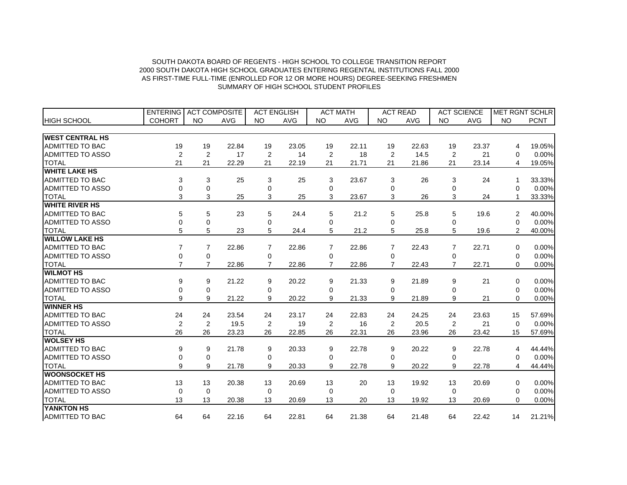|                         | <b>ENTERING</b> | <b>ACT COMPOSITE</b> |            | <b>ACT ENGLISH</b> |            |                | <b>ACT MATH</b> |                | <b>ACT READ</b> |                | <b>ACT SCIENCE</b> |                | <b>MET RGNT SCHLR</b> |
|-------------------------|-----------------|----------------------|------------|--------------------|------------|----------------|-----------------|----------------|-----------------|----------------|--------------------|----------------|-----------------------|
| <b>HIGH SCHOOL</b>      | <b>COHORT</b>   | <b>NO</b>            | <b>AVG</b> | <b>NO</b>          | <b>AVG</b> | <b>NO</b>      | <b>AVG</b>      | <b>NO</b>      | <b>AVG</b>      | <b>NO</b>      | <b>AVG</b>         | <b>NO</b>      | <b>PCNT</b>           |
|                         |                 |                      |            |                    |            |                |                 |                |                 |                |                    |                |                       |
| <b>WEST CENTRAL HS</b>  |                 |                      |            |                    |            |                |                 |                |                 |                |                    |                |                       |
| <b>ADMITTED TO BAC</b>  | 19              | 19                   | 22.84      | 19                 | 23.05      | 19             | 22.11           | 19             | 22.63           | 19             | 23.37              | 4              | 19.05%                |
| <b>ADMITTED TO ASSO</b> | $\overline{2}$  | $\overline{2}$       | 17         | 2                  | 14         | 2              | 18              | 2              | 14.5            | 2              | 21                 | 0              | 0.00%                 |
| <b>TOTAL</b>            | 21              | 21                   | 22.29      | 21                 | 22.19      | 21             | 21.71           | 21             | 21.86           | 21             | 23.14              | 4              | 19.05%                |
| <b>WHITE LAKE HS</b>    |                 |                      |            |                    |            |                |                 |                |                 |                |                    |                |                       |
| <b>ADMITTED TO BAC</b>  | 3               | 3                    | 25         | 3                  | 25         | 3              | 23.67           | 3              | 26              | 3              | 24                 |                | 33.33%                |
| <b>ADMITTED TO ASSO</b> | 0               | 0                    |            | 0                  |            | $\mathbf 0$    |                 | 0              |                 | 0              |                    | 0              | 0.00%                 |
| <b>TOTAL</b>            | 3               | 3                    | 25         | 3                  | 25         | 3              | 23.67           | 3              | 26              | 3              | 24                 | 1              | 33.33%                |
| <b>WHITE RIVER HS</b>   |                 |                      |            |                    |            |                |                 |                |                 |                |                    |                |                       |
| ADMITTED TO BAC         | 5               | 5                    | 23         | 5                  | 24.4       | 5              | 21.2            | 5              | 25.8            | 5              | 19.6               | 2              | 40.00%                |
| <b>ADMITTED TO ASSO</b> | 0               | $\overline{0}$       |            | $\Omega$           |            | 0              |                 | $\Omega$       |                 | $\Omega$       |                    | $\Omega$       | 0.00%                 |
| <b>TOTAL</b>            | 5               | 5                    | 23         | 5                  | 24.4       | 5              | 21.2            | 5              | 25.8            | 5              | 19.6               | $\overline{2}$ | 40.00%                |
| <b>WILLOW LAKE HS</b>   |                 |                      |            |                    |            |                |                 |                |                 |                |                    |                |                       |
| ADMITTED TO BAC         | 7               | 7                    | 22.86      | $\overline{7}$     | 22.86      | $\overline{7}$ | 22.86           | $\overline{7}$ | 22.43           | $\overline{7}$ | 22.71              | $\Omega$       | 0.00%                 |
| <b>ADMITTED TO ASSO</b> | 0               | $\mathbf 0$          |            | $\Omega$           |            | 0              |                 | 0              |                 | $\Omega$       |                    | $\Omega$       | 0.00%                 |
| <b>TOTAL</b>            | $\overline{7}$  | $\overline{7}$       | 22.86      | $\overline{7}$     | 22.86      | $\overline{7}$ | 22.86           | $\overline{7}$ | 22.43           | $\overline{7}$ | 22.71              | $\Omega$       | 0.00%                 |
| <b>WILMOT HS</b>        |                 |                      |            |                    |            |                |                 |                |                 |                |                    |                |                       |
| <b>ADMITTED TO BAC</b>  | 9               | 9                    | 21.22      | 9                  | 20.22      | 9              | 21.33           | 9              | 21.89           | 9              | 21                 | $\Omega$       | 0.00%                 |
| ADMITTED TO ASSO        | 0               | 0                    |            | $\Omega$           |            | $\Omega$       |                 | $\Omega$       |                 | $\Omega$       |                    | $\Omega$       | 0.00%                 |
| <b>TOTAL</b>            | 9               | 9                    | 21.22      | 9                  | 20.22      | 9              | 21.33           | 9              | 21.89           | 9              | 21                 | $\Omega$       | 0.00%                 |
| <b>WINNER HS</b>        |                 |                      |            |                    |            |                |                 |                |                 |                |                    |                |                       |
| <b>ADMITTED TO BAC</b>  | 24              | 24                   | 23.54      | 24                 | 23.17      | 24             | 22.83           | 24             | 24.25           | 24             | 23.63              | 15             | 57.69%                |
| ADMITTED TO ASSO        | $\overline{2}$  | 2                    | 19.5       | 2                  | 19         | 2              | 16              | 2              | 20.5            | 2              | 21                 | 0              | 0.00%                 |
| <b>TOTAL</b>            | 26              | 26                   | 23.23      | 26                 | 22.85      | 26             | 22.31           | 26             | 23.96           | 26             | 23.42              | 15             | 57.69%                |
| <b>WOLSEY HS</b>        |                 |                      |            |                    |            |                |                 |                |                 |                |                    |                |                       |
| <b>ADMITTED TO BAC</b>  | 9               | 9                    | 21.78      | 9                  | 20.33      | 9              | 22.78           | 9              | 20.22           | 9              | 22.78              | 4              | 44.44%                |
| ADMITTED TO ASSO        | 0               | 0                    |            | 0                  |            | 0              |                 | 0              |                 | 0              |                    | 0              | 0.00%                 |
| <b>TOTAL</b>            | 9               | 9                    | 21.78      | 9                  | 20.33      | 9              | 22.78           | 9              | 20.22           | 9              | 22.78              | 4              | 44.44%                |
| <b>WOONSOCKET HS</b>    |                 |                      |            |                    |            |                |                 |                |                 |                |                    |                |                       |
| <b>ADMITTED TO BAC</b>  | 13              | 13                   | 20.38      | 13                 | 20.69      | 13             | 20              | 13             | 19.92           | 13             | 20.69              | 0              | 0.00%                 |
| ADMITTED TO ASSO        | $\mathbf 0$     | $\mathbf 0$          |            | 0                  |            | $\mathbf 0$    |                 | $\mathbf 0$    |                 | $\Omega$       |                    | $\Omega$       | 0.00%                 |
| <b>TOTAL</b>            | 13              | 13                   | 20.38      | 13                 | 20.69      | 13             | 20              | 13             | 19.92           | 13             | 20.69              | $\Omega$       | 0.00%                 |
| YANKTON HS              |                 |                      |            |                    |            |                |                 |                |                 |                |                    |                |                       |
| <b>ADMITTED TO BAC</b>  | 64              | 64                   | 22.16      | 64                 | 22.81      | 64             | 21.38           | 64             | 21.48           | 64             | 22.42              | 14             | 21.21%                |